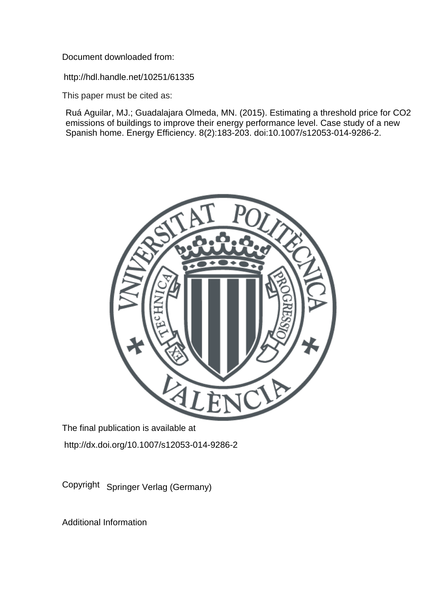Document downloaded from:

http://hdl.handle.net/10251/61335

This paper must be cited as:

Ruá Aguilar, MJ.; Guadalajara Olmeda, MN. (2015). Estimating a threshold price for CO2 emissions of buildings to improve their energy performance level. Case study of a new Spanish home. Energy Efficiency. 8(2):183-203. doi:10.1007/s12053-014-9286-2.



The final publication is available at http://dx.doi.org/10.1007/s12053-014-9286-2

Copyright Springer Verlag (Germany)

Additional Information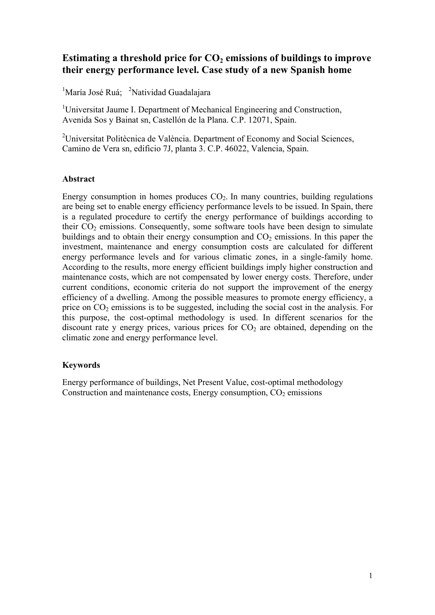### **Estimating a threshold price for**  $CO<sub>2</sub>$  **emissions of buildings to improve their energy performance level. Case study of a new Spanish home**

<sup>1</sup>María José Ruá; <sup>2</sup>Natividad Guadalajara

<sup>1</sup>Universitat Jaume I. Department of Mechanical Engineering and Construction, Avenida Sos y Bainat sn, Castellón de la Plana. C.P. 12071, Spain.

<sup>2</sup>Universitat Politècnica de València. Department of Economy and Social Sciences, Camino de Vera sn, edificio 7J, planta 3. C.P. 46022, Valencia, Spain.

#### **Abstract**

Energy consumption in homes produces  $CO<sub>2</sub>$ . In many countries, building regulations are being set to enable energy efficiency performance levels to be issued. In Spain, there is a regulated procedure to certify the energy performance of buildings according to their  $CO<sub>2</sub>$  emissions. Consequently, some software tools have been design to simulate buildings and to obtain their energy consumption and  $CO<sub>2</sub>$  emissions. In this paper the investment, maintenance and energy consumption costs are calculated for different energy performance levels and for various climatic zones, in a single-family home. According to the results, more energy efficient buildings imply higher construction and maintenance costs, which are not compensated by lower energy costs. Therefore, under current conditions, economic criteria do not support the improvement of the energy efficiency of a dwelling. Among the possible measures to promote energy efficiency, a price on  $CO<sub>2</sub>$  emissions is to be suggested, including the social cost in the analysis. For this purpose, the cost-optimal methodology is used. In different scenarios for the discount rate y energy prices, various prices for  $CO<sub>2</sub>$  are obtained, depending on the climatic zone and energy performance level.

#### **Keywords**

Energy performance of buildings, Net Present Value, cost-optimal methodology Construction and maintenance costs, Energy consumption,  $CO<sub>2</sub>$  emissions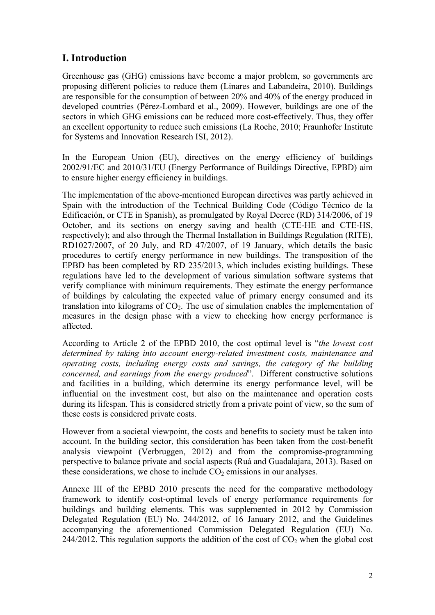# **I. Introduction**

Greenhouse gas (GHG) emissions have become a major problem, so governments are proposing different policies to reduce them (Linares and Labandeira, 2010). Buildings are responsible for the consumption of between 20% and 40% of the energy produced in developed countries (Pérez-Lombard et al., 2009). However, buildings are one of the sectors in which GHG emissions can be reduced more cost-effectively. Thus, they offer an excellent opportunity to reduce such emissions (La Roche, 2010; Fraunhofer Institute for Systems and Innovation Research ISI, 2012).

In the European Union (EU), directives on the energy efficiency of buildings 2002/91/EC and 2010/31/EU (Energy Performance of Buildings Directive, EPBD) aim to ensure higher energy efficiency in buildings.

The implementation of the above-mentioned European directives was partly achieved in Spain with the introduction of the Technical Building Code (Código Técnico de la Edificación, or CTE in Spanish), as promulgated by Royal Decree (RD) 314/2006, of 19 October, and its sections on energy saving and health (CTE-HE and CTE-HS, respectively); and also through the Thermal Installation in Buildings Regulation (RITE), RD1027/2007, of 20 July, and RD 47/2007, of 19 January, which details the basic procedures to certify energy performance in new buildings. The transposition of the EPBD has been completed by RD 235/2013, which includes existing buildings. These regulations have led to the development of various simulation software systems that verify compliance with minimum requirements. They estimate the energy performance of buildings by calculating the expected value of primary energy consumed and its translation into kilograms of  $CO<sub>2</sub>$ . The use of simulation enables the implementation of measures in the design phase with a view to checking how energy performance is affected.

According to Article 2 of the EPBD 2010, the cost optimal level is "*the lowest cost determined by taking into account energy-related investment costs, maintenance and operating costs, including energy costs and savings, the category of the building concerned, and earnings from the energy produced*". Different constructive solutions and facilities in a building, which determine its energy performance level, will be influential on the investment cost, but also on the maintenance and operation costs during its lifespan. This is considered strictly from a private point of view, so the sum of these costs is considered private costs.

However from a societal viewpoint, the costs and benefits to society must be taken into account. In the building sector, this consideration has been taken from the cost-benefit analysis viewpoint (Verbruggen, 2012) and from the compromise-programming perspective to balance private and social aspects (Ruá and Guadalajara, 2013). Based on these considerations, we chose to include  $CO<sub>2</sub>$  emissions in our analyses.

Annexe III of the EPBD 2010 presents the need for the comparative methodology framework to identify cost-optimal levels of energy performance requirements for buildings and building elements. This was supplemented in 2012 by Commission Delegated Regulation (EU) No. 244/2012, of 16 January 2012, and the Guidelines accompanying the aforementioned Commission Delegated Regulation (EU) No. 244/2012. This regulation supports the addition of the cost of  $CO<sub>2</sub>$  when the global cost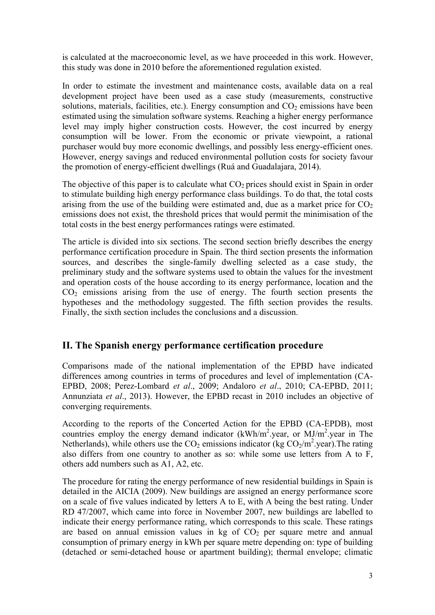is calculated at the macroeconomic level, as we have proceeded in this work. However, this study was done in 2010 before the aforementioned regulation existed.

In order to estimate the investment and maintenance costs, available data on a real development project have been used as a case study (measurements, constructive solutions, materials, facilities, etc.). Energy consumption and  $CO<sub>2</sub>$  emissions have been estimated using the simulation software systems. Reaching a higher energy performance level may imply higher construction costs. However, the cost incurred by energy consumption will be lower. From the economic or private viewpoint, a rational purchaser would buy more economic dwellings, and possibly less energy-efficient ones. However, energy savings and reduced environmental pollution costs for society favour the promotion of energy-efficient dwellings (Ruá and Guadalajara, 2014).

The objective of this paper is to calculate what  $CO<sub>2</sub>$  prices should exist in Spain in order to stimulate building high energy performance class buildings. To do that, the total costs arising from the use of the building were estimated and, due as a market price for  $CO<sub>2</sub>$ emissions does not exist, the threshold prices that would permit the minimisation of the total costs in the best energy performances ratings were estimated.

The article is divided into six sections. The second section briefly describes the energy performance certification procedure in Spain. The third section presents the information sources, and describes the single-family dwelling selected as a case study, the preliminary study and the software systems used to obtain the values for the investment and operation costs of the house according to its energy performance, location and the  $CO<sub>2</sub>$  emissions arising from the use of energy. The fourth section presents the hypotheses and the methodology suggested. The fifth section provides the results. Finally, the sixth section includes the conclusions and a discussion.

### **II. The Spanish energy performance certification procedure**

Comparisons made of the national implementation of the EPBD have indicated differences among countries in terms of procedures and level of implementation (CA-EPBD, 2008; Perez-Lombard *et al*., 2009; Andaloro *et al*., 2010; CA-EPBD, 2011; Annunziata *et al*., 2013). However, the EPBD recast in 2010 includes an objective of converging requirements.

According to the reports of the Concerted Action for the EPBD (CA-EPDB), most countries employ the energy demand indicator  $(kWh/m^2$  year, or  $MJ/m^2$  year in The Netherlands), while others use the  $CO<sub>2</sub>$  emissions indicator (kg  $CO<sub>2</sub>/m<sup>2</sup>$  year). The rating also differs from one country to another as so: while some use letters from A to F, others add numbers such as A1, A2, etc.

The procedure for rating the energy performance of new residential buildings in Spain is detailed in the AICIA (2009). New buildings are assigned an energy performance score on a scale of five values indicated by letters A to E, with A being the best rating. Under RD 47/2007, which came into force in November 2007, new buildings are labelled to indicate their energy performance rating, which corresponds to this scale. These ratings are based on annual emission values in kg of  $CO<sub>2</sub>$  per square metre and annual consumption of primary energy in kWh per square metre depending on: type of building (detached or semi-detached house or apartment building); thermal envelope; climatic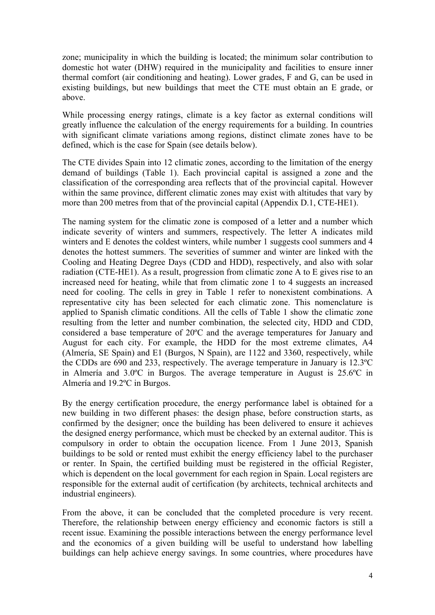zone; municipality in which the building is located; the minimum solar contribution to domestic hot water (DHW) required in the municipality and facilities to ensure inner thermal comfort (air conditioning and heating). Lower grades, F and G, can be used in existing buildings, but new buildings that meet the CTE must obtain an E grade, or above.

While processing energy ratings, climate is a key factor as external conditions will greatly influence the calculation of the energy requirements for a building. In countries with significant climate variations among regions, distinct climate zones have to be defined, which is the case for Spain (see details below).

The CTE divides Spain into 12 climatic zones, according to the limitation of the energy demand of buildings (Table 1). Each provincial capital is assigned a zone and the classification of the corresponding area reflects that of the provincial capital. However within the same province, different climatic zones may exist with altitudes that vary by more than 200 metres from that of the provincial capital (Appendix D.1, CTE-HE1).

The naming system for the climatic zone is composed of a letter and a number which indicate severity of winters and summers, respectively. The letter A indicates mild winters and E denotes the coldest winters, while number 1 suggests cool summers and 4 denotes the hottest summers. The severities of summer and winter are linked with the Cooling and Heating Degree Days (CDD and HDD), respectively, and also with solar radiation (CTE-HE1). As a result, progression from climatic zone A to E gives rise to an increased need for heating, while that from climatic zone 1 to 4 suggests an increased need for cooling. The cells in grey in Table 1 refer to nonexistent combinations. A representative city has been selected for each climatic zone. This nomenclature is applied to Spanish climatic conditions. All the cells of Table 1 show the climatic zone resulting from the letter and number combination, the selected city, HDD and CDD, considered a base temperature of 20ºC and the average temperatures for January and August for each city. For example, the HDD for the most extreme climates, A4 (Almería, SE Spain) and E1 (Burgos, N Spain), are 1122 and 3360, respectively, while the CDDs are 690 and 233, respectively. The average temperature in January is 12.3ºC in Almería and 3.0ºC in Burgos. The average temperature in August is 25.6ºC in Almería and 19.2ºC in Burgos.

By the energy certification procedure, the energy performance label is obtained for a new building in two different phases: the design phase, before construction starts, as confirmed by the designer; once the building has been delivered to ensure it achieves the designed energy performance, which must be checked by an external auditor. This is compulsory in order to obtain the occupation licence. From 1 June 2013, Spanish buildings to be sold or rented must exhibit the energy efficiency label to the purchaser or renter. In Spain, the certified building must be registered in the official Register, which is dependent on the local government for each region in Spain. Local registers are responsible for the external audit of certification (by architects, technical architects and industrial engineers).

From the above, it can be concluded that the completed procedure is very recent. Therefore, the relationship between energy efficiency and economic factors is still a recent issue. Examining the possible interactions between the energy performance level and the economics of a given building will be useful to understand how labelling buildings can help achieve energy savings. In some countries, where procedures have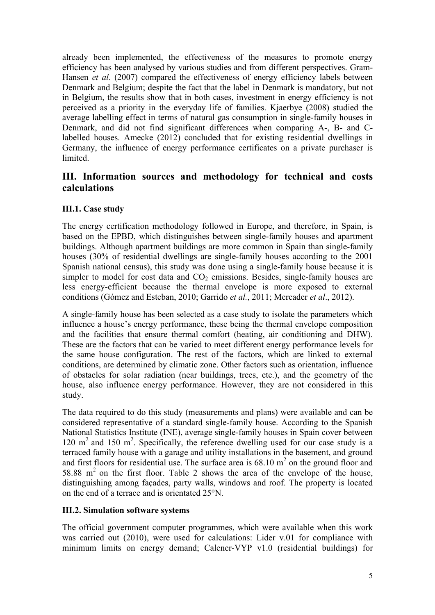already been implemented, the effectiveness of the measures to promote energy efficiency has been analysed by various studies and from different perspectives. Gram-Hansen *et al.* (2007) compared the effectiveness of energy efficiency labels between Denmark and Belgium; despite the fact that the label in Denmark is mandatory, but not in Belgium, the results show that in both cases, investment in energy efficiency is not perceived as a priority in the everyday life of families. Kjaerbye (2008) studied the average labelling effect in terms of natural gas consumption in single-family houses in Denmark, and did not find significant differences when comparing A-, B- and Clabelled houses. Amecke (2012) concluded that for existing residential dwellings in Germany, the influence of energy performance certificates on a private purchaser is limited.

### **III. Information sources and methodology for technical and costs calculations**

#### **III.1. Case study**

The energy certification methodology followed in Europe, and therefore, in Spain, is based on the EPBD, which distinguishes between single-family houses and apartment buildings. Although apartment buildings are more common in Spain than single-family houses (30% of residential dwellings are single-family houses according to the 2001 Spanish national census), this study was done using a single-family house because it is simpler to model for cost data and  $CO<sub>2</sub>$  emissions. Besides, single-family houses are less energy-efficient because the thermal envelope is more exposed to external conditions (Gómez and Esteban, 2010; Garrido *et al.*, 2011; Mercader *et al*., 2012).

A single-family house has been selected as a case study to isolate the parameters which influence a house's energy performance, these being the thermal envelope composition and the facilities that ensure thermal comfort (heating, air conditioning and DHW). These are the factors that can be varied to meet different energy performance levels for the same house configuration. The rest of the factors, which are linked to external conditions, are determined by climatic zone. Other factors such as orientation, influence of obstacles for solar radiation (near buildings, trees, etc.), and the geometry of the house, also influence energy performance. However, they are not considered in this study.

The data required to do this study (measurements and plans) were available and can be considered representative of a standard single-family house. According to the Spanish National Statistics Institute (INE), average single-family houses in Spain cover between  $120 \text{ m}^2$  and  $150 \text{ m}^2$ . Specifically, the reference dwelling used for our case study is a terraced family house with a garage and utility installations in the basement, and ground and first floors for residential use. The surface area is  $68.10 \text{ m}^2$  on the ground floor and 58.88  $m<sup>2</sup>$  on the first floor. Table 2 shows the area of the envelope of the house, distinguishing among façades, party walls, windows and roof. The property is located on the end of a terrace and is orientated 25°N.

#### **III.2. Simulation software systems**

The official government computer programmes, which were available when this work was carried out (2010), were used for calculations: Lider v.01 for compliance with minimum limits on energy demand; Calener-VYP v1.0 (residential buildings) for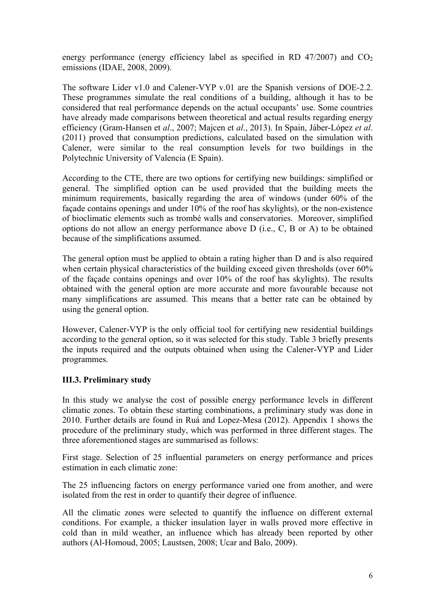energy performance (energy efficiency label as specified in RD 47/2007) and  $CO<sub>2</sub>$ emissions (IDAE, 2008, 2009).

The software Lider v1.0 and Calener-VYP v.01 are the Spanish versions of DOE-2.2. These programmes simulate the real conditions of a building, although it has to be considered that real performance depends on the actual occupants' use. Some countries have already made comparisons between theoretical and actual results regarding energy efficiency (Gram-Hansen et *al*., 2007; Majcen et *al*., 2013). In Spain, Jáber-López *et al*. (2011) proved that consumption predictions, calculated based on the simulation with Calener, were similar to the real consumption levels for two buildings in the Polytechnic University of Valencia (E Spain).

According to the CTE, there are two options for certifying new buildings: simplified or general. The simplified option can be used provided that the building meets the minimum requirements, basically regarding the area of windows (under 60% of the façade contains openings and under 10% of the roof has skylights), or the non-existence of bioclimatic elements such as trombé walls and conservatories. Moreover, simplified options do not allow an energy performance above D (i.e., C, B or A) to be obtained because of the simplifications assumed.

The general option must be applied to obtain a rating higher than D and is also required when certain physical characteristics of the building exceed given thresholds (over 60%) of the façade contains openings and over 10% of the roof has skylights). The results obtained with the general option are more accurate and more favourable because not many simplifications are assumed. This means that a better rate can be obtained by using the general option.

However, Calener-VYP is the only official tool for certifying new residential buildings according to the general option, so it was selected for this study. Table 3 briefly presents the inputs required and the outputs obtained when using the Calener-VYP and Lider programmes.

#### **III.3. Preliminary study**

In this study we analyse the cost of possible energy performance levels in different climatic zones. To obtain these starting combinations, a preliminary study was done in 2010. Further details are found in Ruá and Lopez-Mesa (2012). Appendix 1 shows the procedure of the preliminary study, which was performed in three different stages. The three aforementioned stages are summarised as follows:

First stage. Selection of 25 influential parameters on energy performance and prices estimation in each climatic zone:

The 25 influencing factors on energy performance varied one from another, and were isolated from the rest in order to quantify their degree of influence.

All the climatic zones were selected to quantify the influence on different external conditions. For example, a thicker insulation layer in walls proved more effective in cold than in mild weather, an influence which has already been reported by other authors (Al-Homoud, 2005; Laustsen, 2008; Ucar and Balo, 2009).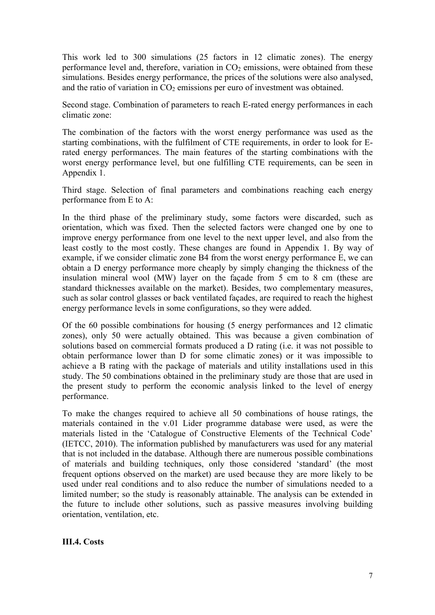This work led to 300 simulations (25 factors in 12 climatic zones). The energy performance level and, therefore, variation in  $CO<sub>2</sub>$  emissions, were obtained from these simulations. Besides energy performance, the prices of the solutions were also analysed, and the ratio of variation in  $CO<sub>2</sub>$  emissions per euro of investment was obtained.

Second stage. Combination of parameters to reach E-rated energy performances in each climatic zone:

The combination of the factors with the worst energy performance was used as the starting combinations, with the fulfilment of CTE requirements, in order to look for Erated energy performances. The main features of the starting combinations with the worst energy performance level, but one fulfilling CTE requirements, can be seen in Appendix 1.

Third stage. Selection of final parameters and combinations reaching each energy performance from E to A:

In the third phase of the preliminary study, some factors were discarded, such as orientation, which was fixed. Then the selected factors were changed one by one to improve energy performance from one level to the next upper level, and also from the least costly to the most costly. These changes are found in Appendix 1. By way of example, if we consider climatic zone B4 from the worst energy performance E, we can obtain a D energy performance more cheaply by simply changing the thickness of the insulation mineral wool (MW) layer on the façade from 5 cm to 8 cm (these are standard thicknesses available on the market). Besides, two complementary measures, such as solar control glasses or back ventilated façades, are required to reach the highest energy performance levels in some configurations, so they were added.

Of the 60 possible combinations for housing (5 energy performances and 12 climatic zones), only 50 were actually obtained. This was because a given combination of solutions based on commercial formats produced a D rating (i.e. it was not possible to obtain performance lower than D for some climatic zones) or it was impossible to achieve a B rating with the package of materials and utility installations used in this study. The 50 combinations obtained in the preliminary study are those that are used in the present study to perform the economic analysis linked to the level of energy performance.

To make the changes required to achieve all 50 combinations of house ratings, the materials contained in the v.01 Lider programme database were used, as were the materials listed in the 'Catalogue of Constructive Elements of the Technical Code' (IETCC, 2010). The information published by manufacturers was used for any material that is not included in the database. Although there are numerous possible combinations of materials and building techniques, only those considered 'standard' (the most frequent options observed on the market) are used because they are more likely to be used under real conditions and to also reduce the number of simulations needed to a limited number; so the study is reasonably attainable. The analysis can be extended in the future to include other solutions, such as passive measures involving building orientation, ventilation, etc.

**III.4. Costs**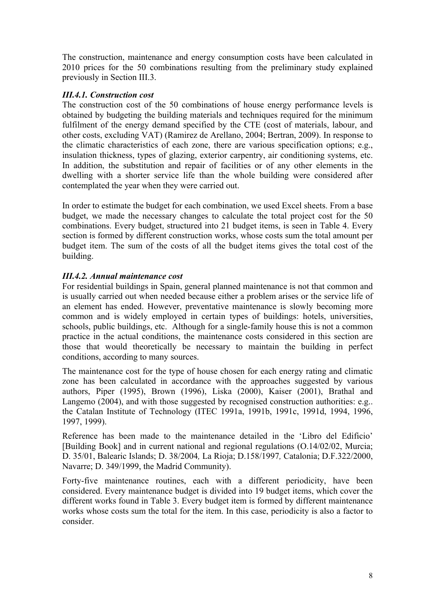The construction, maintenance and energy consumption costs have been calculated in 2010 prices for the 50 combinations resulting from the preliminary study explained previously in Section III.3.

#### *III.4.1. Construction cost*

The construction cost of the 50 combinations of house energy performance levels is obtained by budgeting the building materials and techniques required for the minimum fulfilment of the energy demand specified by the CTE (cost of materials, labour, and other costs, excluding VAT) (Ramirez de Arellano, 2004; Bertran, 2009). In response to the climatic characteristics of each zone, there are various specification options; e.g., insulation thickness, types of glazing, exterior carpentry, air conditioning systems, etc. In addition, the substitution and repair of facilities or of any other elements in the dwelling with a shorter service life than the whole building were considered after contemplated the year when they were carried out.

In order to estimate the budget for each combination, we used Excel sheets. From a base budget, we made the necessary changes to calculate the total project cost for the 50 combinations. Every budget, structured into 21 budget items, is seen in Table 4. Every section is formed by different construction works, whose costs sum the total amount per budget item. The sum of the costs of all the budget items gives the total cost of the building.

#### *III.4.2. Annual maintenance cost*

For residential buildings in Spain, general planned maintenance is not that common and is usually carried out when needed because either a problem arises or the service life of an element has ended. However, preventative maintenance is slowly becoming more common and is widely employed in certain types of buildings: hotels, universities, schools, public buildings, etc. Although for a single-family house this is not a common practice in the actual conditions, the maintenance costs considered in this section are those that would theoretically be necessary to maintain the building in perfect conditions, according to many sources.

The maintenance cost for the type of house chosen for each energy rating and climatic zone has been calculated in accordance with the approaches suggested by various authors, Piper (1995), Brown (1996), Liska (2000), Kaiser (2001), Brathal and Langemo (2004), and with those suggested by recognised construction authorities: e.g.. the Catalan Institute of Technology (ITEC 1991a, 1991b, 1991c, 1991d, 1994, 1996, 1997, 1999).

Reference has been made to the maintenance detailed in the 'Libro del Edificio' [Building Book] and in current national and regional regulations (O.14/02/02, Murcia; D. 35/01, Balearic Islands; D. 38/2004*,* La Rioja; D.158/1997*,* Catalonia; D.F.322/2000, Navarre; D. 349/1999, the Madrid Community).

Forty-five maintenance routines, each with a different periodicity, have been considered. Every maintenance budget is divided into 19 budget items, which cover the different works found in Table 3. Every budget item is formed by different maintenance works whose costs sum the total for the item. In this case, periodicity is also a factor to consider.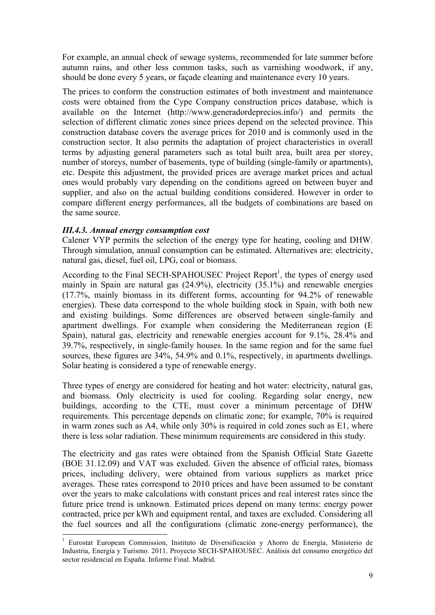For example, an annual check of sewage systems, recommended for late summer before autumn rains, and other less common tasks, such as varnishing woodwork, if any, should be done every 5 years, or façade cleaning and maintenance every 10 years.

The prices to conform the construction estimates of both investment and maintenance costs were obtained from the Cype Company construction prices database, which is available on the Internet (http://www.generadordeprecios.info/) and permits the selection of different climatic zones since prices depend on the selected province. This construction database covers the average prices for 2010 and is commonly used in the construction sector. It also permits the adaptation of project characteristics in overall terms by adjusting general parameters such as total built area, built area per storey, number of storeys, number of basements, type of building (single-family or apartments), etc. Despite this adjustment, the provided prices are average market prices and actual ones would probably vary depending on the conditions agreed on between buyer and supplier, and also on the actual building conditions considered. However in order to compare different energy performances, all the budgets of combinations are based on the same source.

#### *III.4.3. Annual energy consumption cost*

Calener VYP permits the selection of the energy type for heating, cooling and DHW. Through simulation, annual consumption can be estimated. Alternatives are: electricity, natural gas, diesel, fuel oil, LPG, coal or biomass.

According to the Final SECH-SPAHOUSEC Project Report<sup>1</sup>, the types of energy used mainly in Spain are natural gas (24.9%), electricity (35.1%) and renewable energies (17.7%, mainly biomass in its different forms, accounting for 94.2% of renewable energies). These data correspond to the whole building stock in Spain, with both new and existing buildings. Some differences are observed between single-family and apartment dwellings. For example when considering the Mediterranean region (E Spain), natural gas, electricity and renewable energies account for 9.1%, 28.4% and 39.7%, respectively, in single-family houses. In the same region and for the same fuel sources, these figures are 34%, 54.9% and 0.1%, respectively, in apartments dwellings. Solar heating is considered a type of renewable energy.

Three types of energy are considered for heating and hot water: electricity, natural gas, and biomass. Only electricity is used for cooling. Regarding solar energy, new buildings, according to the CTE, must cover a minimum percentage of DHW requirements. This percentage depends on climatic zone; for example, 70% is required in warm zones such as A4, while only 30% is required in cold zones such as E1, where there is less solar radiation. These minimum requirements are considered in this study.

The electricity and gas rates were obtained from the Spanish Official State Gazette (BOE 31.12.09) and VAT was excluded. Given the absence of official rates, biomass prices, including delivery, were obtained from various suppliers as market price averages. These rates correspond to 2010 prices and have been assumed to be constant over the years to make calculations with constant prices and real interest rates since the future price trend is unknown. Estimated prices depend on many terms: energy power contracted, price per kWh and equipment rental, and taxes are excluded. Considering all the fuel sources and all the configurations (climatic zone-energy performance), the

<sup>&</sup>lt;sup>1</sup> Eurostat European Commission, Instituto de Diversificación y Ahorro de Energía, Ministerio de Industria, Energía y Turismo. 2011. Proyecto SECH-SPAHOUSEC. Análisis del consumo energético del sector residencial en España. Informe Final. Madrid.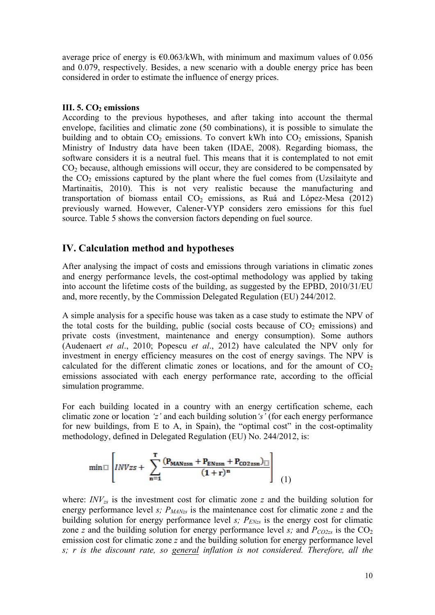average price of energy is  $\epsilon$ 0.063/kWh, with minimum and maximum values of 0.056 and 0.079, respectively. Besides, a new scenario with a double energy price has been considered in order to estimate the influence of energy prices.

#### **III.** 5. CO<sub>2</sub> emissions

According to the previous hypotheses, and after taking into account the thermal envelope, facilities and climatic zone (50 combinations), it is possible to simulate the building and to obtain  $CO<sub>2</sub>$  emissions. To convert kWh into  $CO<sub>2</sub>$  emissions, Spanish Ministry of Industry data have been taken (IDAE, 2008). Regarding biomass, the software considers it is a neutral fuel. This means that it is contemplated to not emit  $CO<sub>2</sub>$  because, although emissions will occur, they are considered to be compensated by the  $CO<sub>2</sub>$  emissions captured by the plant where the fuel comes from (Uzsilaityte and Martinaitis, 2010). This is not very realistic because the manufacturing and transportation of biomass entail  $CO<sub>2</sub>$  emissions, as Ruá and López-Mesa (2012) previously warned. However, Calener-VYP considers zero emissions for this fuel source. Table 5 shows the conversion factors depending on fuel source.

### **IV. Calculation method and hypotheses**

After analysing the impact of costs and emissions through variations in climatic zones and energy performance levels, the cost-optimal methodology was applied by taking into account the lifetime costs of the building, as suggested by the EPBD, 2010/31/EU and, more recently, by the Commission Delegated Regulation (EU) 244/2012.

A simple analysis for a specific house was taken as a case study to estimate the NPV of the total costs for the building, public (social costs because of  $CO<sub>2</sub>$  emissions) and private costs (investment, maintenance and energy consumption). Some authors (Audenaert *et al*., 2010; Popescu *et al*., 2012) have calculated the NPV only for investment in energy efficiency measures on the cost of energy savings. The NPV is calculated for the different climatic zones or locations, and for the amount of  $CO<sub>2</sub>$ emissions associated with each energy performance rate, according to the official simulation programme.

For each building located in a country with an energy certification scheme, each climatic zone or location *'z'* and each building solution*'s'* (for each energy performance for new buildings, from  $E$  to  $A$ , in Spain), the "optimal cost" in the cost-optimality methodology, defined in Delegated Regulation (EU) No. 244/2012, is:

$$
\text{min} \mathbb{E}\left[ \text{INVzz} + \sum_{n=1}^{T} \frac{(P_{MANzzn} + P_{ENzsn} + P_{CO2zsn})_{\mathbb{E}}}{(1+r)^n} \right] \tag{1}
$$

where:  $INV_{zs}$  is the investment cost for climatic zone *z* and the building solution for energy performance level *s*;  $P_{MANzs}$  is the maintenance cost for climatic zone *z* and the building solution for energy performance level *s*;  $P_{ENzs}$  is the energy cost for climatic zone *z* and the building solution for energy performance level *s*; and  $P_{CO2zs}$  is the CO<sub>2</sub> emission cost for climatic zone *z* and the building solution for energy performance level *s; r is the discount rate, so general inflation is not considered. Therefore, all the*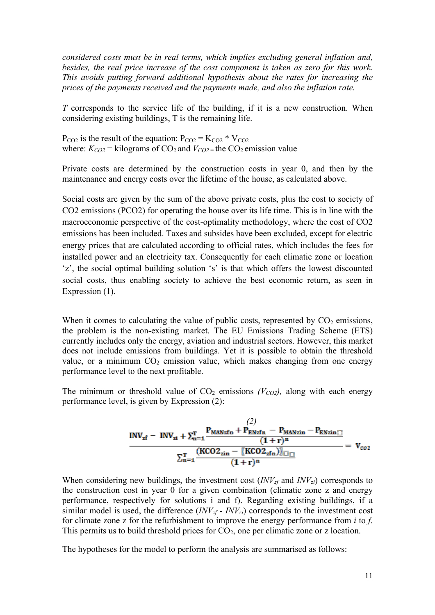*considered costs must be in real terms, which implies excluding general inflation and, besides, the real price increase of the cost component is taken as zero for this work. This avoids putting forward additional hypothesis about the rates for increasing the prices of the payments received and the payments made, and also the inflation rate.*

*T* corresponds to the service life of the building, if it is a new construction. When considering existing buildings, T is the remaining life.

 $P_{CO2}$  is the result of the equation:  $P_{CO2} = K_{CO2} * V_{CO2}$ where:  $K_{CO2}$  = kilograms of CO<sub>2</sub> and  $V_{CO2}$  = the CO<sub>2</sub> emission value

Private costs are determined by the construction costs in year 0, and then by the maintenance and energy costs over the lifetime of the house, as calculated above.

Social costs are given by the sum of the above private costs, plus the cost to society of CO2 emissions (PCO2) for operating the house over its life time. This is in line with the macroeconomic perspective of the cost-optimality methodology, where the cost of CO2 emissions has been included. Taxes and subsides have been excluded, except for electric energy prices that are calculated according to official rates, which includes the fees for installed power and an electricity tax. Consequently for each climatic zone or location 'z', the social optimal building solution 's' is that which offers the lowest discounted social costs, thus enabling society to achieve the best economic return, as seen in Expression (1).

When it comes to calculating the value of public costs, represented by  $CO<sub>2</sub>$  emissions, the problem is the non-existing market. The EU Emissions Trading Scheme (ETS) currently includes only the energy, aviation and industrial sectors. However, this market does not include emissions from buildings. Yet it is possible to obtain the threshold value, or a minimum  $CO<sub>2</sub>$  emission value, which makes changing from one energy performance level to the next profitable.

The minimum or threshold value of  $CO<sub>2</sub>$  emissions *(V<sub>CO2</sub>)*, along with each energy performance level, is given by Expression (2):

$$
\frac{INV_{zf} - INV_{zi} + \sum_{n=1}^{T} \frac{P_{MANzfn} + P_{ENzfn} - P_{MANzin} - P_{ENzin}}{(1+r)^{n}}}{\sum_{n=1}^{T} \frac{(KCO2_{zin} - [KCO2_{zfn})]_{\square}}{(1+r)^{n}}} = V_{co2}
$$

When considering new buildings, the investment cost  $(INV_{zf}$  and  $INV_{zi})$  corresponds to the construction cost in year 0 for a given combination (climatic zone z and energy performance, respectively for solutions i and f). Regarding existing buildings, if a similar model is used, the difference  $(INV_{zf} - INV_{zi})$  corresponds to the investment cost for climate zone z for the refurbishment to improve the energy performance from *i* to *f*. This permits us to build threshold prices for  $CO<sub>2</sub>$ , one per climatic zone or z location.

The hypotheses for the model to perform the analysis are summarised as follows: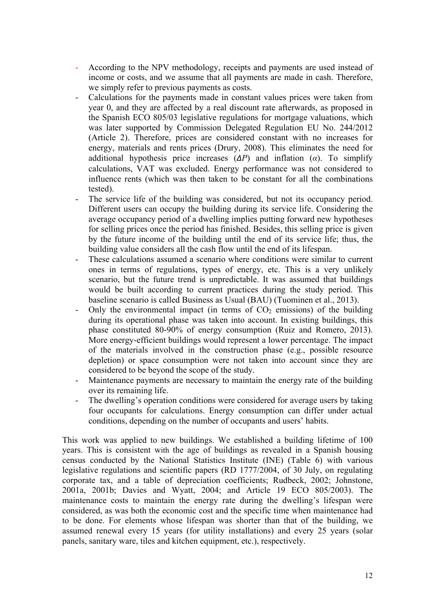- According to the NPV methodology, receipts and payments are used instead of income or costs, and we assume that all payments are made in cash. Therefore, we simply refer to previous payments as costs.
- Calculations for the payments made in constant values prices were taken from year 0, and they are affected by a real discount rate afterwards, as proposed in the Spanish ECO 805/03 legislative regulations for mortgage valuations, which was later supported by Commission Delegated Regulation EU No. 244/2012 (Article 2). Therefore, prices are considered constant with no increases for energy, materials and rents prices (Drury, 2008). This eliminates the need for additional hypothesis price increases  $(\Delta P)$  and inflation  $(\alpha)$ . To simplify calculations, VAT was excluded. Energy performance was not considered to influence rents (which was then taken to be constant for all the combinations tested).
- The service life of the building was considered, but not its occupancy period. Different users can occupy the building during its service life. Considering the average occupancy period of a dwelling implies putting forward new hypotheses for selling prices once the period has finished. Besides, this selling price is given by the future income of the building until the end of its service life; thus, the building value considers all the cash flow until the end of its lifespan.
- These calculations assumed a scenario where conditions were similar to current ones in terms of regulations, types of energy, etc. This is a very unlikely scenario, but the future trend is unpredictable. It was assumed that buildings would be built according to current practices during the study period. This baseline scenario is called Business as Usual (BAU) (Tuominen et al., 2013).
- Only the environmental impact (in terms of  $CO<sub>2</sub>$  emissions) of the building during its operational phase was taken into account. In existing buildings, this phase constituted 80-90% of energy consumption (Ruiz and Romero, 2013). More energy-efficient buildings would represent a lower percentage. The impact of the materials involved in the construction phase (e.g., possible resource depletion) or space consumption were not taken into account since they are considered to be beyond the scope of the study.
- Maintenance payments are necessary to maintain the energy rate of the building over its remaining life.
- The dwelling's operation conditions were considered for average users by taking four occupants for calculations. Energy consumption can differ under actual conditions, depending on the number of occupants and users' habits.

This work was applied to new buildings. We established a building lifetime of 100 years. This is consistent with the age of buildings as revealed in a Spanish housing census conducted by the National Statistics Institute (INE) (Table 6) with various legislative regulations and scientific papers (RD 1777/2004, of 30 July, on regulating corporate tax, and a table of depreciation coefficients; Rudbeck, 2002; Johnstone, 2001a, 2001b; Davies and Wyatt, 2004; and Article 19 ECO 805/2003). The maintenance costs to maintain the energy rate during the dwelling's lifespan were considered, as was both the economic cost and the specific time when maintenance had to be done. For elements whose lifespan was shorter than that of the building, we assumed renewal every 15 years (for utility installations) and every 25 years (solar panels, sanitary ware, tiles and kitchen equipment, etc.), respectively.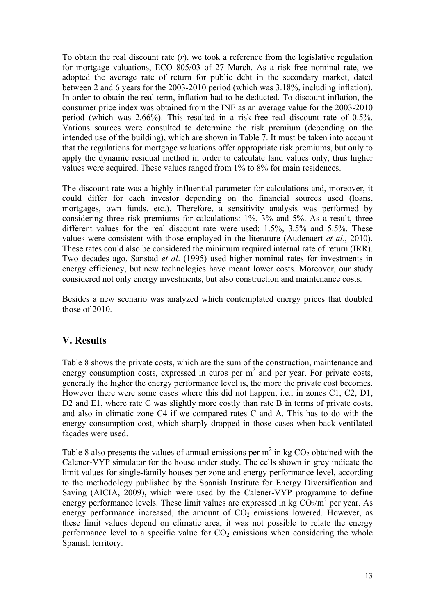To obtain the real discount rate (*r*), we took a reference from the legislative regulation for mortgage valuations, ECO 805/03 of 27 March. As a risk-free nominal rate, we adopted the average rate of return for public debt in the secondary market, dated between 2 and 6 years for the 2003-2010 period (which was 3.18%, including inflation). In order to obtain the real term, inflation had to be deducted. To discount inflation, the consumer price index was obtained from the INE as an average value for the 2003-2010 period (which was 2.66%). This resulted in a risk-free real discount rate of 0.5%. Various sources were consulted to determine the risk premium (depending on the intended use of the building), which are shown in Table 7. It must be taken into account that the regulations for mortgage valuations offer appropriate risk premiums, but only to apply the dynamic residual method in order to calculate land values only, thus higher values were acquired. These values ranged from 1% to 8% for main residences.

The discount rate was a highly influential parameter for calculations and, moreover, it could differ for each investor depending on the financial sources used (loans, mortgages, own funds, etc.). Therefore, a sensitivity analysis was performed by considering three risk premiums for calculations: 1%, 3% and 5%. As a result, three different values for the real discount rate were used: 1.5%, 3.5% and 5.5%. These values were consistent with those employed in the literature (Audenaert *et al*., 2010). These rates could also be considered the minimum required internal rate of return (IRR). Two decades ago, Sanstad *et al*. (1995) used higher nominal rates for investments in energy efficiency, but new technologies have meant lower costs. Moreover, our study considered not only energy investments, but also construction and maintenance costs.

Besides a new scenario was analyzed which contemplated energy prices that doubled those of 2010.

### **V. Results**

Table 8 shows the private costs, which are the sum of the construction, maintenance and energy consumption costs, expressed in euros per  $m<sup>2</sup>$  and per year. For private costs, generally the higher the energy performance level is, the more the private cost becomes. However there were some cases where this did not happen, i.e., in zones C1, C2, D1, D2 and E1, where rate C was slightly more costly than rate B in terms of private costs, and also in climatic zone C4 if we compared rates C and A. This has to do with the energy consumption cost, which sharply dropped in those cases when back-ventilated façades were used.

Table 8 also presents the values of annual emissions per  $m^2$  in kg CO<sub>2</sub> obtained with the Calener-VYP simulator for the house under study. The cells shown in grey indicate the limit values for single-family houses per zone and energy performance level, according to the methodology published by the Spanish Institute for Energy Diversification and Saving (AICIA, 2009), which were used by the Calener-VYP programme to define energy performance levels. These limit values are expressed in kg  $CO<sub>2</sub>/m<sup>2</sup>$  per year. As energy performance increased, the amount of  $CO<sub>2</sub>$  emissions lowered. However, as these limit values depend on climatic area, it was not possible to relate the energy performance level to a specific value for  $CO<sub>2</sub>$  emissions when considering the whole Spanish territory.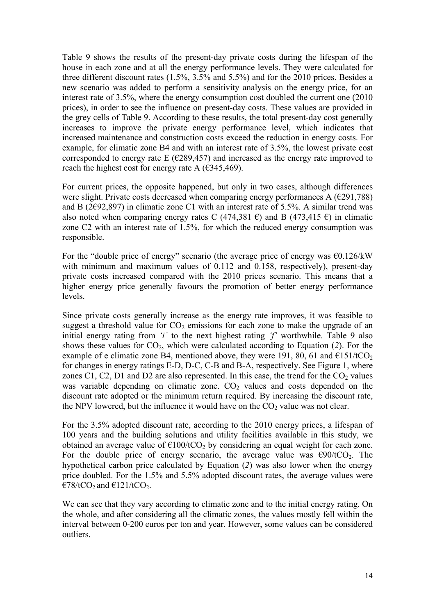Table 9 shows the results of the present-day private costs during the lifespan of the house in each zone and at all the energy performance levels. They were calculated for three different discount rates  $(1.5\% \, 3.5\% \, \text{and} \, 5.5\%)$  and for the 2010 prices. Besides a new scenario was added to perform a sensitivity analysis on the energy price, for an interest rate of 3.5%, where the energy consumption cost doubled the current one (2010 prices), in order to see the influence on present-day costs. These values are provided in the grey cells of Table 9. According to these results, the total present-day cost generally increases to improve the private energy performance level, which indicates that increased maintenance and construction costs exceed the reduction in energy costs. For example, for climatic zone B4 and with an interest rate of 3.5%, the lowest private cost corresponded to energy rate E ( $\epsilon$ 289,457) and increased as the energy rate improved to reach the highest cost for energy rate A  $(\text{\textsterling}345, 469)$ .

For current prices, the opposite happened, but only in two cases, although differences were slight. Private costs decreased when comparing energy performances A  $(\text{\textsterling}291,788)$ and B (2 $\epsilon$ 92,897) in climatic zone C1 with an interest rate of 5.5%. A similar trend was also noted when comparing energy rates C (474,381  $\epsilon$ ) and B (473,415  $\epsilon$ ) in climatic zone C2 with an interest rate of 1.5%, for which the reduced energy consumption was responsible.

For the "double price of energy" scenario (the average price of energy was  $\epsilon$ 0.126/kW with minimum and maximum values of 0.112 and 0.158, respectively), present-day private costs increased compared with the 2010 prices scenario. This means that a higher energy price generally favours the promotion of better energy performance levels.

Since private costs generally increase as the energy rate improves, it was feasible to suggest a threshold value for  $CO<sub>2</sub>$  emissions for each zone to make the upgrade of an initial energy rating from *'i'* to the next highest rating *'f'* worthwhile. Table 9 also shows these values for  $CO<sub>2</sub>$ , which were calculated according to Equation (2). For the example of e climatic zone B4, mentioned above, they were 191, 80, 61 and  $\epsilon$ 151/tCO<sub>2</sub> for changes in energy ratings E-D, D-C, C-B and B-A, respectively. See Figure 1, where zones C1, C2, D1 and D2 are also represented. In this case, the trend for the  $CO<sub>2</sub>$  values was variable depending on climatic zone.  $CO<sub>2</sub>$  values and costs depended on the discount rate adopted or the minimum return required. By increasing the discount rate, the NPV lowered, but the influence it would have on the  $CO<sub>2</sub>$  value was not clear.

For the 3.5% adopted discount rate, according to the 2010 energy prices, a lifespan of 100 years and the building solutions and utility facilities available in this study, we obtained an average value of  $\epsilon$ 100/tCO<sub>2</sub> by considering an equal weight for each zone. For the double price of energy scenario, the average value was  $\epsilon 90/tCO_2$ . The hypothetical carbon price calculated by Equation (*2*) was also lower when the energy price doubled. For the 1.5% and 5.5% adopted discount rates, the average values were  $€78/tCO<sub>2</sub>$  and  $€121/tCO<sub>2</sub>$ .

We can see that they vary according to climatic zone and to the initial energy rating. On the whole, and after considering all the climatic zones, the values mostly fell within the interval between 0-200 euros per ton and year. However, some values can be considered outliers.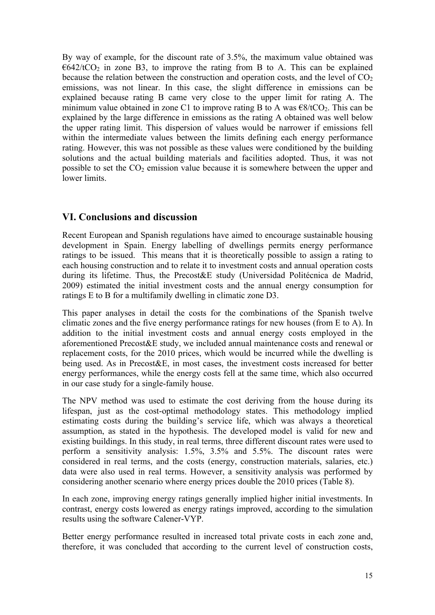By way of example, for the discount rate of 3.5%, the maximum value obtained was  $\epsilon$ 642/tCO<sub>2</sub> in zone B3, to improve the rating from B to A. This can be explained because the relation between the construction and operation costs, and the level of  $CO<sub>2</sub>$ emissions, was not linear. In this case, the slight difference in emissions can be explained because rating B came very close to the upper limit for rating A. The minimum value obtained in zone C1 to improve rating B to A was  $\epsilon$ 8/tCO<sub>2</sub>. This can be explained by the large difference in emissions as the rating A obtained was well below the upper rating limit. This dispersion of values would be narrower if emissions fell within the intermediate values between the limits defining each energy performance rating. However, this was not possible as these values were conditioned by the building solutions and the actual building materials and facilities adopted. Thus, it was not possible to set the  $CO<sub>2</sub>$  emission value because it is somewhere between the upper and lower limits.

### **VI. Conclusions and discussion**

Recent European and Spanish regulations have aimed to encourage sustainable housing development in Spain. Energy labelling of dwellings permits energy performance ratings to be issued. This means that it is theoretically possible to assign a rating to each housing construction and to relate it to investment costs and annual operation costs during its lifetime. Thus, the Precost&E study (Universidad Politécnica de Madrid, 2009) estimated the initial investment costs and the annual energy consumption for ratings E to B for a multifamily dwelling in climatic zone D3.

This paper analyses in detail the costs for the combinations of the Spanish twelve climatic zones and the five energy performance ratings for new houses (from E to A). In addition to the initial investment costs and annual energy costs employed in the aforementioned Precost&E study, we included annual maintenance costs and renewal or replacement costs, for the 2010 prices, which would be incurred while the dwelling is being used. As in Precost&E, in most cases, the investment costs increased for better energy performances, while the energy costs fell at the same time, which also occurred in our case study for a single-family house.

The NPV method was used to estimate the cost deriving from the house during its lifespan, just as the cost-optimal methodology states. This methodology implied estimating costs during the building's service life, which was always a theoretical assumption, as stated in the hypothesis. The developed model is valid for new and existing buildings. In this study, in real terms, three different discount rates were used to perform a sensitivity analysis: 1.5%, 3.5% and 5.5%. The discount rates were considered in real terms, and the costs (energy, construction materials, salaries, etc.) data were also used in real terms. However, a sensitivity analysis was performed by considering another scenario where energy prices double the 2010 prices (Table 8).

In each zone, improving energy ratings generally implied higher initial investments. In contrast, energy costs lowered as energy ratings improved, according to the simulation results using the software Calener-VYP.

Better energy performance resulted in increased total private costs in each zone and, therefore, it was concluded that according to the current level of construction costs,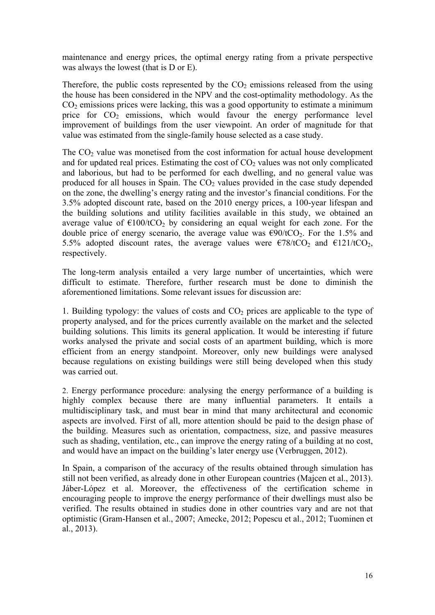maintenance and energy prices, the optimal energy rating from a private perspective was always the lowest (that is D or E).

Therefore, the public costs represented by the  $CO<sub>2</sub>$  emissions released from the using the house has been considered in the NPV and the cost-optimality methodology. As the  $CO<sub>2</sub>$  emissions prices were lacking, this was a good opportunity to estimate a minimum price for  $CO<sub>2</sub>$  emissions, which would favour the energy performance level improvement of buildings from the user viewpoint. An order of magnitude for that value was estimated from the single-family house selected as a case study.

The CO<sub>2</sub> value was monetised from the cost information for actual house development and for updated real prices. Estimating the cost of  $CO<sub>2</sub>$  values was not only complicated and laborious, but had to be performed for each dwelling, and no general value was produced for all houses in Spain. The  $CO<sub>2</sub>$  values provided in the case study depended on the zone, the dwelling's energy rating and the investor's financial conditions. For the 3.5% adopted discount rate, based on the 2010 energy prices, a 100-year lifespan and the building solutions and utility facilities available in this study, we obtained an average value of  $\epsilon$ 100/tCO<sub>2</sub> by considering an equal weight for each zone. For the double price of energy scenario, the average value was  $\epsilon 90/1CO_2$ . For the 1.5% and 5.5% adopted discount rates, the average values were  $\epsilon$ 78/tCO<sub>2</sub> and  $\epsilon$ 121/tCO<sub>2</sub>, respectively.

The long-term analysis entailed a very large number of uncertainties, which were difficult to estimate. Therefore, further research must be done to diminish the aforementioned limitations. Some relevant issues for discussion are:

1. Building typology: the values of costs and  $CO<sub>2</sub>$  prices are applicable to the type of property analysed, and for the prices currently available on the market and the selected building solutions. This limits its general application. It would be interesting if future works analysed the private and social costs of an apartment building, which is more efficient from an energy standpoint. Moreover, only new buildings were analysed because regulations on existing buildings were still being developed when this study was carried out.

2. Energy performance procedure: analysing the energy performance of a building is highly complex because there are many influential parameters. It entails a multidisciplinary task, and must bear in mind that many architectural and economic aspects are involved. First of all, more attention should be paid to the design phase of the building. Measures such as orientation, compactness, size, and passive measures such as shading, ventilation, etc., can improve the energy rating of a building at no cost, and would have an impact on the building's later energy use (Verbruggen, 2012).

In Spain, a comparison of the accuracy of the results obtained through simulation has still not been verified, as already done in other European countries (Majcen et al., 2013). Jáber-López et al. Moreover, the effectiveness of the certification scheme in encouraging people to improve the energy performance of their dwellings must also be verified. The results obtained in studies done in other countries vary and are not that optimistic (Gram-Hansen et al., 2007; Amecke, 2012; Popescu et al., 2012; Tuominen et al., 2013).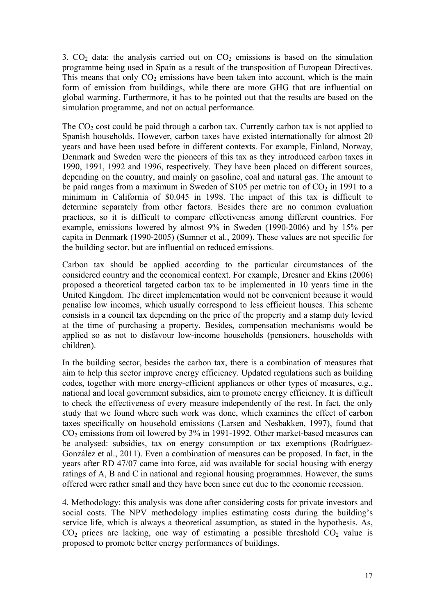3.  $CO<sub>2</sub>$  data: the analysis carried out on  $CO<sub>2</sub>$  emissions is based on the simulation programme being used in Spain as a result of the transposition of European Directives. This means that only  $CO<sub>2</sub>$  emissions have been taken into account, which is the main form of emission from buildings, while there are more GHG that are influential on global warming. Furthermore, it has to be pointed out that the results are based on the simulation programme, and not on actual performance.

The  $CO<sub>2</sub>$  cost could be paid through a carbon tax. Currently carbon tax is not applied to Spanish households. However, carbon taxes have existed internationally for almost 20 years and have been used before in different contexts. For example, Finland, Norway, Denmark and Sweden were the pioneers of this tax as they introduced carbon taxes in 1990, 1991, 1992 and 1996, respectively. They have been placed on different sources, depending on the country, and mainly on gasoline, coal and natural gas. The amount to be paid ranges from a maximum in Sweden of \$105 per metric ton of  $CO<sub>2</sub>$  in 1991 to a minimum in California of \$0.045 in 1998. The impact of this tax is difficult to determine separately from other factors. Besides there are no common evaluation practices, so it is difficult to compare effectiveness among different countries. For example, emissions lowered by almost 9% in Sweden (1990-2006) and by 15% per capita in Denmark (1990-2005) (Sumner et al., 2009). These values are not specific for the building sector, but are influential on reduced emissions.

Carbon tax should be applied according to the particular circumstances of the considered country and the economical context. For example, Dresner and Ekins (2006) proposed a theoretical targeted carbon tax to be implemented in 10 years time in the United Kingdom. The direct implementation would not be convenient because it would penalise low incomes, which usually correspond to less efficient houses. This scheme consists in a council tax depending on the price of the property and a stamp duty levied at the time of purchasing a property. Besides, compensation mechanisms would be applied so as not to disfavour low-income households (pensioners, households with children).

In the building sector, besides the carbon tax, there is a combination of measures that aim to help this sector improve energy efficiency. Updated regulations such as building codes, together with more energy-efficient appliances or other types of measures, e.g., national and local government subsidies, aim to promote energy efficiency. It is difficult to check the effectiveness of every measure independently of the rest. In fact, the only study that we found where such work was done, which examines the effect of carbon taxes specifically on household emissions (Larsen and Nesbakken, 1997), found that  $CO<sub>2</sub>$  emissions from oil lowered by 3% in 1991-1992. Other market-based measures can be analysed: subsidies, tax on energy consumption or tax exemptions (Rodríguez-González et al., 2011). Even a combination of measures can be proposed. In fact, in the years after RD 47/07 came into force, aid was available for social housing with energy ratings of A, B and C in national and regional housing programmes. However, the sums offered were rather small and they have been since cut due to the economic recession.

4. Methodology: this analysis was done after considering costs for private investors and social costs. The NPV methodology implies estimating costs during the building's service life, which is always a theoretical assumption, as stated in the hypothesis. As,  $CO<sub>2</sub>$  prices are lacking, one way of estimating a possible threshold  $CO<sub>2</sub>$  value is proposed to promote better energy performances of buildings.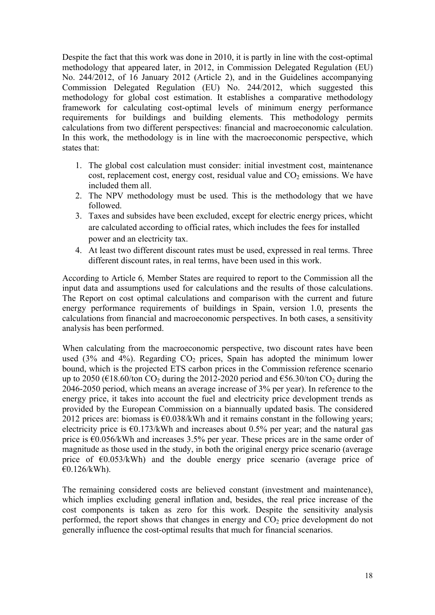Despite the fact that this work was done in 2010, it is partly in line with the cost-optimal methodology that appeared later, in 2012, in Commission Delegated Regulation (EU) No. 244/2012, of 16 January 2012 (Article 2), and in the Guidelines accompanying Commission Delegated Regulation (EU) No. 244/2012, which suggested this methodology for global cost estimation. It establishes a comparative methodology framework for calculating cost-optimal levels of minimum energy performance requirements for buildings and building elements. This methodology permits calculations from two different perspectives: financial and macroeconomic calculation. In this work, the methodology is in line with the macroeconomic perspective, which states that:

- 1. The global cost calculation must consider: initial investment cost, maintenance cost, replacement cost, energy cost, residual value and  $CO<sub>2</sub>$  emissions. We have included them all.
- 2. The NPV methodology must be used. This is the methodology that we have followed.
- 3. Taxes and subsides have been excluded, except for electric energy prices, whicht are calculated according to official rates, which includes the fees for installed power and an electricity tax.
- 4. At least two different discount rates must be used, expressed in real terms. Three different discount rates, in real terms, have been used in this work.

According to Article 6*,* Member States are required to report to the Commission all the input data and assumptions used for calculations and the results of those calculations. The Report on cost optimal calculations and comparison with the current and future energy performance requirements of buildings in Spain, version 1.0, presents the calculations from financial and macroeconomic perspectives. In both cases, a sensitivity analysis has been performed.

When calculating from the macroeconomic perspective, two discount rates have been used  $(3\%$  and  $4\%)$ . Regarding  $CO<sub>2</sub>$  prices, Spain has adopted the minimum lower bound, which is the projected ETS carbon prices in the Commission reference scenario up to 2050 ( $\epsilon$ 18.60/ton CO<sub>2</sub> during the 2012-2020 period and  $\epsilon$ 56.30/ton CO<sub>2</sub> during the 2046-2050 period, which means an average increase of 3% per year). In reference to the energy price, it takes into account the fuel and electricity price development trends as provided by the European Commission on a biannually updated basis. The considered 2012 prices are: biomass is  $\epsilon$ 0.038/kWh and it remains constant in the following years; electricity price is  $\epsilon$ 0.173/kWh and increases about 0.5% per year; and the natural gas price is €0.056/kWh and increases 3.5% per year. These prices are in the same order of magnitude as those used in the study, in both the original energy price scenario (average price of  $\epsilon$ 0.053/kWh) and the double energy price scenario (average price of  $€0.126/kWh$ .

The remaining considered costs are believed constant (investment and maintenance), which implies excluding general inflation and, besides, the real price increase of the cost components is taken as zero for this work. Despite the sensitivity analysis performed, the report shows that changes in energy and  $CO<sub>2</sub>$  price development do not generally influence the cost-optimal results that much for financial scenarios.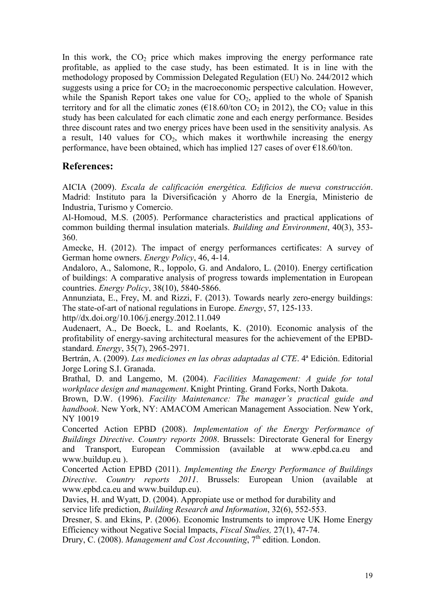In this work, the  $CO<sub>2</sub>$  price which makes improving the energy performance rate profitable, as applied to the case study, has been estimated. It is in line with the methodology proposed by Commission Delegated Regulation (EU) No. 244/2012 which suggests using a price for  $CO<sub>2</sub>$  in the macroeconomic perspective calculation. However, while the Spanish Report takes one value for  $CO<sub>2</sub>$ , applied to the whole of Spanish territory and for all the climatic zones ( $\epsilon$ 18.60/ton CO<sub>2</sub> in 2012), the CO<sub>2</sub> value in this study has been calculated for each climatic zone and each energy performance. Besides three discount rates and two energy prices have been used in the sensitivity analysis. As a result, 140 values for  $CO<sub>2</sub>$ , which makes it worthwhile increasing the energy performance, have been obtained, which has implied 127 cases of over  $\epsilon$ 18.60/ton.

### **References:**

AICIA (2009). *Escala de calificación energética. Edificios de nueva construcción*. Madrid: Instituto para la Diversificación y Ahorro de la Energía, Ministerio de Industria, Turismo y Comercio.

Al-Homoud, M.S. (2005). Performance characteristics and practical applications of common building thermal insulation materials. *Building and Environment*, 40(3), 353- 360.

Amecke, H. (2012). The impact of energy performances certificates: A survey of German home owners. *Energy Policy*, 46, 4-14.

Andaloro, A., Salomone, R., Ioppolo, G. and Andaloro, L. (2010). Energy certification of buildings: A comparative analysis of progress towards implementation in European countries. *Energy Policy*, 38(10), 5840-5866.

Annunziata, E., Frey, M. and Rizzi, F. (2013). Towards nearly zero-energy buildings: The state-of-art of national regulations in Europe. *Energy*, 57, 125-133.

http//dx.doi.org/10.106/j.energy.2012.11.049

Audenaert, A., De Boeck, L. and Roelants, K. (2010). Economic analysis of the profitability of energy-saving architectural measures for the achievement of the EPBDstandard. *Energy*, 35(7), 2965-2971.

Bertrán, A. (2009). *Las mediciones en las obras adaptadas al CTE*. 4ª Edición. Editorial Jorge Loring S.I. Granada.

Brathal, D. and Langemo, M. (2004). *Facilities Management: A guide for total workplace design and management*. Knight Printing. Grand Forks, North Dakota.

Brown, D.W. (1996). *Facility Maintenance: The manager's practical guide and handbook*. New York, NY: AMACOM American Management Association. New York, NY 10019

Concerted Action EPBD (2008). *Implementation of the Energy Performance of Buildings Directive*. *Country reports 2008*. Brussels: Directorate General for Energy and Transport, European Commission (available at www.epbd.ca.eu and www.buildup.eu ).

Concerted Action EPBD (2011). *Implementing the Energy Performance of Buildings Directive*. *Country reports 2011*. Brussels: European Union (available at www.epbd.ca.eu and www.buildup.eu).

Davies, H. and Wyatt, D. (2004). Appropiate use or method for durability and

service life prediction, *Building Research and Information*, 32(6), 552-553.

Dresner, S. and Ekins, P. (2006). Economic Instruments to improve UK Home Energy Efficiency without Negative Social Impacts, *Fiscal Studies,* 27(1), 47-74.

Drury, C. (2008). *Management and Cost Accounting*, 7<sup>th</sup> edition. London.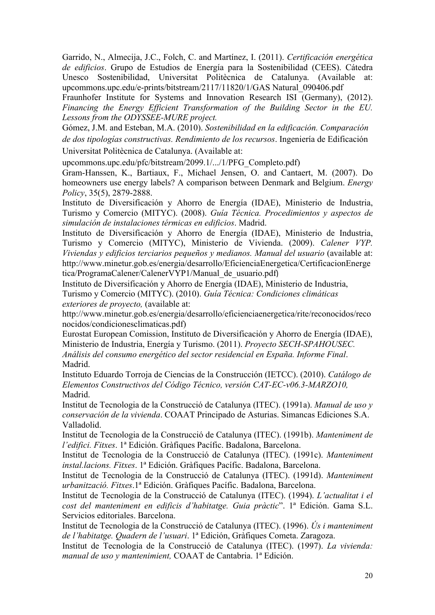Garrido, N., Almecija, J.C., Folch, C. and Martínez, I. (2011). *Certificación energética de edificios*. Grupo de Estudios de Energía para la Sostenibilidad (CEES). Cátedra Unesco Sostenibilidad, Universitat Politècnica de Catalunya. (Available at: upcommons.upc.edu/e-prints/bitstream/2117/11820/1/GAS Natural\_090406.pdf

Fraunhofer Institute for Systems and Innovation Research ISI (Germany), (2012). *Financing the Energy Efficient Transformation of the Building Sector in the EU. Lessons from the ODYSSEE-MURE project.*

Gómez, J.M. and Esteban, M.A. (2010). *Sostenibilidad en la edificación. Comparación de dos tipologías constructivas. Rendimiento de los recursos*. Ingeniería de Edificación Universitat Politècnica de Catalunya. (Available at:

upcommons.upc.edu/pfc/bitstream/2099.1/.../1/PFG\_Completo.pdf)

Gram-Hanssen, K., Bartiaux, F., Michael Jensen, O. and Cantaert, M. (2007). Do homeowners use energy labels? A comparison between Denmark and Belgium. *Energy Policy*, 35(5), 2879-2888.

Instituto de Diversificación y Ahorro de Energía (IDAE), Ministerio de Industria, Turismo y Comercio (MITYC). (2008). *Guía Técnica. Procedimientos y aspectos de simulación de instalaciones térmicas en edificios*. Madrid.

Instituto de Diversificación y Ahorro de Energía (IDAE), Ministerio de Industria, Turismo y Comercio (MITYC), Ministerio de Vivienda. (2009). *Calener VYP. Viviendas y edificios terciarios pequeños y medianos. Manual del usuario* (available at: http://www.minetur.gob.es/energia/desarrollo/EficienciaEnergetica/CertificacionEnerge tica/ProgramaCalener/CalenerVYP1/Manual\_de\_usuario.pdf)

Instituto de Diversificación y Ahorro de Energía (IDAE), Ministerio de Industria, Turismo y Comercio (MITYC). (2010). *Guía Técnica: Condiciones climáticas exteriores de proyecto,* (available at:

http://www.minetur.gob.es/energia/desarrollo/eficienciaenergetica/rite/reconocidos/reco nocidos/condicionesclimaticas.pdf)

Eurostat European Comission, Instituto de Diversificación y Ahorro de Energía (IDAE), Ministerio de Industria, Energía y Turismo. (2011). *Proyecto SECH-SPAHOUSEC. Análisis del consumo energético del sector residencial en España. Informe Final*. Madrid.

Instituto Eduardo Torroja de Ciencias de la Construcción (IETCC). (2010). *Catálogo de Elementos Constructivos del Código Técnico, versión CAT-EC-v06.3-MARZO10,*  Madrid.

Institut de Tecnologia de la Construcció de Catalunya (ITEC). (1991a). *Manual de uso y conservación de la vivienda*. COAAT Principado de Asturias. Simancas Ediciones S.A. Valladolid.

Institut de Tecnologia de la Construcció de Catalunya (ITEC). (1991b). *Manteniment de l'edifici. Fitxes*. 1ª Edición. Gràfiques Pacífic. Badalona, Barcelona.

Institut de Tecnologia de la Construcció de Catalunya (ITEC). (1991c). *Manteniment instal.lacions. Fitxes*. 1ª Edición. Gràfiques Pacífic. Badalona, Barcelona.

Institut de Tecnologia de la Construcció de Catalunya (ITEC). (1991d). *Manteniment urbanització. Fitxes*.1ª Edición. Gràfiques Pacífic. Badalona, Barcelona.

Institut de Tecnologia de la Construcció de Catalunya (ITEC). (1994). *L'actualitat i el cost del manteniment en edificis d'habitatge. Guia pràctic*". 1ª Edición. Gama S.L. Servicios editoriales. Barcelona.

Institut de Tecnologia de la Construcció de Catalunya (ITEC). (1996). *Ús i manteniment de l'habitatge. Quadern de l'usuari*. 1ª Edición, Gràfiques Cometa. Zaragoza.

Institut de Tecnologia de la Construcció de Catalunya (ITEC). (1997). *La vivienda: manual de uso y mantenimient,* COAAT de Cantabria. 1ª Edición.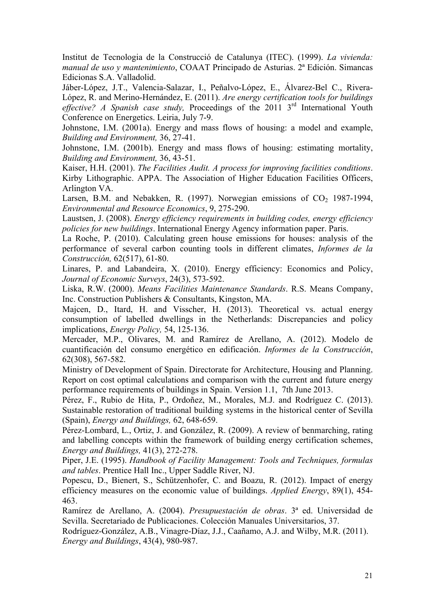Institut de Tecnologia de la Construcció de Catalunya (ITEC). (1999). *La vivienda: manual de uso y mantenimiento*, COAAT Principado de Asturias. 2ª Edición. Simancas Edicionas S.A. Valladolid.

Jáber-López, J.T., Valencia-Salazar, I., Peñalvo-López, E., Álvarez-Bel C., Rivera-López, R. and Merino-Hernández, E. (2011). *Are energy certification tools for buildings*  effective? A Spanish case study, Proceedings of the 2011 3<sup>rd</sup> International Youth Conference on Energetics. Leiria, July 7-9.

Johnstone, I.M. (2001a). Energy and mass flows of housing: a model and example, *Building and Environment,* 36, 27-41.

Johnstone, I.M. (2001b). Energy and mass flows of housing: estimating mortality, *Building and Environment,* 36, 43-51.

Kaiser, H.H. (2001). *The Facilities Audit. A process for improving facilities conditions*. Kirby Lithographic. APPA. The Association of Higher Education Facilities Officers, Arlington VA.

Larsen, B.M. and Nebakken, R. (1997). Norwegian emissions of  $CO<sub>2</sub>$  1987-1994, *Environmental and Resource Economics*, 9, 275-290.

Laustsen, J. (2008). *Energy efficiency requirements in building codes, energy efficiency policies for new buildings*. International Energy Agency information paper. Paris.

La Roche, P. (2010). Calculating green house emissions for houses: analysis of the performance of several carbon counting tools in different climates, *Informes de la Construcción,* 62(517), 61-80.

Linares, P. and Labandeira, X. (2010). Energy efficiency: Economics and Policy, *Journal of Economic Surveys*, 24(3), 573-592.

Liska, R.W. (2000). *Means Facilities Maintenance Standards*. R.S. Means Company, Inc. Construction Publishers & Consultants, Kingston, MA.

Majcen, D., Itard, H. and Visscher, H. (2013). Theoretical vs. actual energy consumption of labelled dwellings in the Netherlands: Discrepancies and policy implications, *Energy Policy,* 54, 125-136.

Mercader, M.P., Olivares, M. and Ramírez de Arellano, A. (2012). Modelo de cuantificación del consumo energético en edificación. *Informes de la Construcción*, 62(308), 567-582.

Ministry of Development of Spain. Directorate for Architecture, Housing and Planning. Report on cost optimal calculations and comparison with the current and future energy performance requirements of buildings in Spain. Version 1.1, 7th June 2013.

Pérez, F., Rubio de Hita, P., Ordoñez, M., Morales, M.J. and Rodríguez C. (2013). Sustainable restoration of traditional building systems in the historical center of Sevilla (Spain), *Energy and Buildings,* 62, 648-659.

Pérez-Lombard, L., Ortiz, J. and González, R. (2009). A review of benmarching, rating and labelling concepts within the framework of building energy certification schemes, *Energy and Buildings,* 41(3), 272-278.

Piper, J.E. (1995). *Handbook of Facility Management: Tools and Techniques, formulas and tables*. Prentice Hall Inc., Upper Saddle River, NJ.

Popescu, D., Bienert, S., Schützenhofer, C. and Boazu, R. (2012). Impact of energy efficiency measures on the economic value of buildings. *Applied Energy*, 89(1), 454- 463.

Ramírez de Arellano, A. (2004). *Presupuestación de obras*. 3ª ed. Universidad de Sevilla. Secretariado de Publicaciones. Colección Manuales Universitarios, 37.

Rodríguez-González, A.B., Vinagre-Díaz, J.J., Caañamo, A.J. and Wilby, M.R. (2011). *Energy and Buildings*, 43(4), 980-987.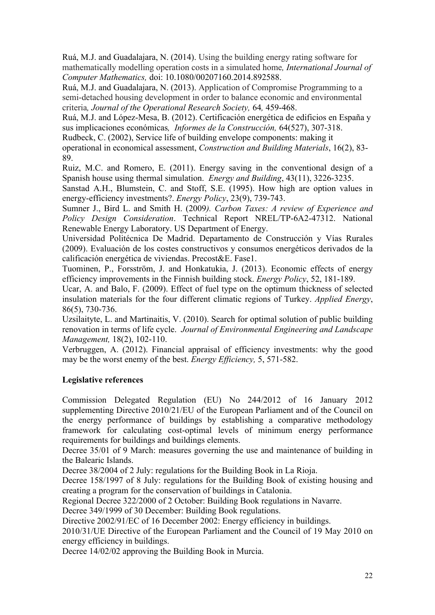Ruá, M.J. and Guadalajara, N. (2014). Using the building energy rating software for mathematically modelling operation costs in a simulated home*, International Journal of Computer Mathematics,* doi: 10.1080/00207160.2014.892588.

Ruá, M.J. and Guadalajara, N. (2013). Application of Compromise Programming to a semi-detached housing development in order to balance economic and environmental criteria*, Journal of the Operational Research Society,* 64*,* 459-468.

Ruá, M.J. and López-Mesa, B. (2012). Certificación energética de edificios en España y sus implicaciones económicas*, Informes de la Construcción,* 64(527), 307-318.

Rudbeck, C. (2002), Service life of building envelope components: making it

operational in economical assessment, *Construction and Building Materials*, 16(2), 83- 89.

Ruiz, M.C. and Romero, E. (2011). Energy saving in the conventional design of a Spanish house using thermal simulation. *Energy and Building*, 43(11), 3226-3235.

Sanstad A.H., Blumstein, C. and Stoff, S.E. (1995). How high are option values in energy-efficiency investments?. *Energy Policy*, 23(9), 739-743.

Sumner J., Bird L. and Smith H. (2009*). Carbon Taxes: A review of Experience and Policy Design Consideration*. Technical Report NREL/TP-6A2-47312. National Renewable Energy Laboratory. US Department of Energy.

Universidad Politécnica De Madrid. Departamento de Construcción y Vías Rurales (2009). Evaluación de los costes constructivos y consumos energéticos derivados de la calificación energética de viviendas. Precost&E. Fase1.

Tuominen, P., Forsström, J. and Honkatukia, J. (2013). Economic effects of energy efficiency improvements in the Finnish building stock. *Energy Policy*, 52, 181-189.

Ucar, A. and Balo, F. (2009). Effect of fuel type on the optimum thickness of selected insulation materials for the four different climatic regions of Turkey. *Applied Energy*, 86(5), 730-736.

Uzsilaityte, L. and Martinaitis, V. (2010). Search for optimal solution of public building renovation in terms of life cycle. *Journal of Environmental Engineering and Landscape Management,* 18(2), 102-110.

Verbruggen, A. (2012). Financial appraisal of efficiency investments: why the good may be the worst enemy of the best. *Energy Efficiency,* 5, 571-582.

#### **Legislative references**

Commission Delegated Regulation (EU) No 244/2012 of 16 January 2012 supplementing Directive 2010/21/EU of the European Parliament and of the Council on the energy performance of buildings by establishing a comparative methodology framework for calculating cost-optimal levels of minimum energy performance requirements for buildings and buildings elements.

Decree 35/01 of 9 March: measures governing the use and maintenance of building in the Balearic Islands.

Decree 38/2004 of 2 July: regulations for the Building Book in La Rioja.

Decree 158/1997 of 8 July: regulations for the Building Book of existing housing and creating a program for the conservation of buildings in Catalonia.

Regional Decree 322/2000 of 2 October: Building Book regulations in Navarre.

Decree 349/1999 of 30 December: Building Book regulations.

Directive 2002/91/EC of 16 December 2002: Energy efficiency in buildings.

2010/31/UE Directive of the European Parliament and the Council of 19 May 2010 on energy efficiency in buildings.

Decree 14/02/02 approving the Building Book in Murcia.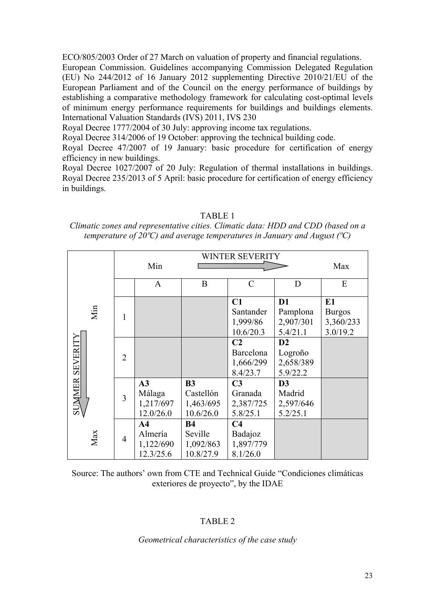ECO/805/2003 Order of 27 March on valuation of property and financial regulations.

European Commission. Guidelines accompanying Commission Delegated Regulation (EU) No 244/2012 of 16 January 2012 supplementing Directive 2010/21/EU of the European Parliament and of the Council on the energy performance of buildings by establishing a comparative methodology framework for calculating cost-optimal levels of minimum energy performance requirements for buildings and buildings elements. International Valuation Standards (IVS) 2011, IVS 230

Royal Decree 1777/2004 of 30 July: approving income tax regulations.

Royal Decree 314/2006 of 19 October: approving the technical building code.

Royal Decree 47/2007 of 19 January: basic procedure for certification of energy efficiency in new buildings.

Royal Decree 1027/2007 of 20 July: Regulation of thermal installations in buildings. Royal Decree 235/2013 of 5 April: basic procedure for certification of energy efficiency in buildings.

|                        |     |                |                |           | WINTER SEVERITY |                |               |
|------------------------|-----|----------------|----------------|-----------|-----------------|----------------|---------------|
|                        |     |                |                |           |                 |                |               |
|                        |     |                | Min            |           |                 |                | Max           |
|                        |     |                | $\mathbf{A}$   | B         | $\mathcal{C}$   | D              | ${\bf E}$     |
|                        |     |                |                |           | C1              | D <sub>1</sub> | E1            |
|                        | Min | 1              |                |           | Santander       | Pamplona       | <b>Burgos</b> |
|                        |     |                |                |           | 1,999/86        | 2,907/301      | 3,360/233     |
|                        |     |                |                |           | 10.6/20.3       | 5.4/21.1       | 3.0/19.2      |
|                        |     | $\overline{2}$ |                |           | C <sub>2</sub>  | D2             |               |
|                        |     |                |                |           | Barcelona       | Logroño        |               |
|                        |     |                |                |           | 1,666/299       | 2,658/389      |               |
| <b>SUMMER SEVERITY</b> |     |                |                |           | 8.4/23.7        | 5.9/22.2       |               |
|                        |     |                | A3             | <b>B3</b> | C <sub>3</sub>  | D <sub>3</sub> |               |
|                        |     | 3              | Málaga         | Castellón | Granada         | Madrid         |               |
|                        |     |                | 1,217/697      | 1,463/695 | 2,387/725       | 2,597/646      |               |
|                        |     |                | 12.0/26.0      | 10.6/26.0 | 5.8/25.1        | 5.2/25.1       |               |
|                        |     |                | A <sub>4</sub> | <b>B4</b> | C <sub>4</sub>  |                |               |
|                        | Max | $\overline{4}$ | Almería        | Seville   | Badajoz         |                |               |
|                        |     |                | 1,122/690      | 1,092/863 | 1,897/779       |                |               |
|                        |     |                | 12.3/25.6      | 10.8/27.9 | 8.1/26.0        |                |               |

TABLE 1

*Climatic zones and representative cities. Climatic data: HDD and CDD (based on a temperature of 20ºC) and average temperatures in January and August (ºC)*

Source: The authors' own from CTE and Technical Guide "Condiciones climáticas exteriores de proyecto", by the IDAE

#### TABLE 2

#### *Geometrical characteristics of the case study*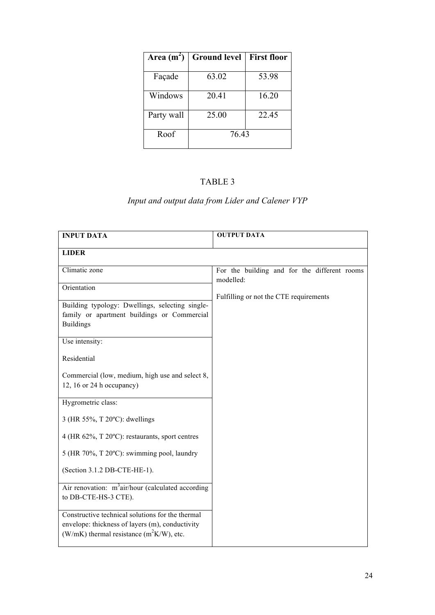| Area $(m^2)$ | <b>Ground level</b> | <b>First floor</b> |
|--------------|---------------------|--------------------|
|              |                     |                    |
| Façade       | 63.02               | 53.98              |
| Windows      | 20.41               | 16.20              |
| Party wall   | 25.00               | 22.45              |
| Roof         | 76.43               |                    |

### TABLE 3

# *Input and output data from Lider and Calener VYP*

| <b>INPUT DATA</b>                                                                                                                                  | <b>OUTPUT DATA</b>                                        |
|----------------------------------------------------------------------------------------------------------------------------------------------------|-----------------------------------------------------------|
| <b>LIDER</b>                                                                                                                                       |                                                           |
| Climatic zone                                                                                                                                      | For the building and for the different rooms<br>modelled: |
| Orientation                                                                                                                                        | Fulfilling or not the CTE requirements                    |
| Building typology: Dwellings, selecting single-<br>family or apartment buildings or Commercial<br><b>Buildings</b>                                 |                                                           |
| Use intensity:                                                                                                                                     |                                                           |
| Residential                                                                                                                                        |                                                           |
| Commercial (low, medium, high use and select 8,<br>12, 16 or 24 h occupancy)                                                                       |                                                           |
| Hygrometric class:                                                                                                                                 |                                                           |
| 3 (HR 55%, T 20°C): dwellings                                                                                                                      |                                                           |
| 4 (HR 62%, T 20°C): restaurants, sport centres                                                                                                     |                                                           |
| 5 (HR 70%, T 20°C): swimming pool, laundry                                                                                                         |                                                           |
| (Section 3.1.2 DB-CTE-HE-1).                                                                                                                       |                                                           |
| Air renovation: $m^3$ air/hour (calculated according<br>to DB-CTE-HS-3 CTE).                                                                       |                                                           |
| Constructive technical solutions for the thermal<br>envelope: thickness of layers (m), conductivity<br>(W/mK) thermal resistance $(m^2K/W)$ , etc. |                                                           |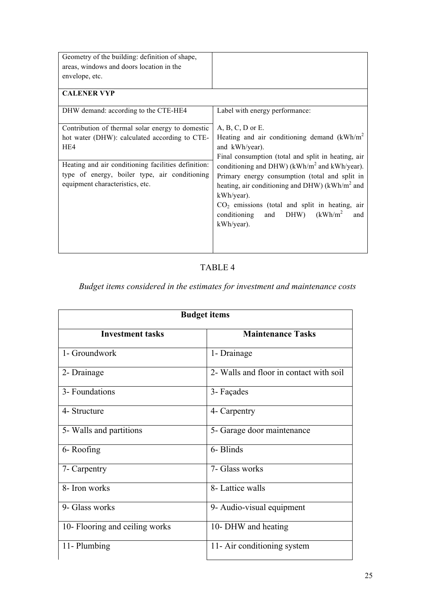| Geometry of the building: definition of shape,      |                                                             |
|-----------------------------------------------------|-------------------------------------------------------------|
| areas, windows and doors location in the            |                                                             |
| envelope, etc.                                      |                                                             |
|                                                     |                                                             |
| <b>CALENER VYP</b>                                  |                                                             |
| DHW demand: according to the CTE-HE4                | Label with energy performance:                              |
|                                                     |                                                             |
| Contribution of thermal solar energy to domestic    | $A, B, C, D$ or E.                                          |
| hot water (DHW): calculated according to CTE-       | Heating and air conditioning demand $(kWh/m2)$              |
| HE4                                                 | and kWh/year).                                              |
|                                                     | Final consumption (total and split in heating, air          |
| Heating and air conditioning facilities definition: | conditioning and DHW) ( $kWh/m2$ and $kWh/year$ ).          |
| type of energy, boiler type, air conditioning       | Primary energy consumption (total and split in              |
| equipment characteristics, etc.                     | heating, air conditioning and DHW) ( $kWh/m2$ and           |
|                                                     | kWh/year).                                                  |
|                                                     | $CO2$ emissions (total and split in heating, air            |
|                                                     | (kWh/m <sup>2</sup> )<br>DHW)<br>and<br>conditioning<br>and |
|                                                     | kWh/year).                                                  |
|                                                     |                                                             |
|                                                     |                                                             |
|                                                     |                                                             |

TABLE 4

*Budget items considered in the estimates for investment and maintenance costs*

| <b>Budget items</b>            |                                         |  |  |  |  |  |  |
|--------------------------------|-----------------------------------------|--|--|--|--|--|--|
| <b>Investment tasks</b>        | <b>Maintenance Tasks</b>                |  |  |  |  |  |  |
| 1- Groundwork                  | 1- Drainage                             |  |  |  |  |  |  |
| 2- Drainage                    | 2- Walls and floor in contact with soil |  |  |  |  |  |  |
| 3- Foundations                 | 3- Façades                              |  |  |  |  |  |  |
| 4- Structure                   | 4- Carpentry                            |  |  |  |  |  |  |
| 5- Walls and partitions        | 5- Garage door maintenance              |  |  |  |  |  |  |
| 6-Roofing                      | 6- Blinds                               |  |  |  |  |  |  |
| 7- Carpentry                   | 7- Glass works                          |  |  |  |  |  |  |
| 8- Iron works                  | 8- Lattice walls                        |  |  |  |  |  |  |
| 9- Glass works                 | 9- Audio-visual equipment               |  |  |  |  |  |  |
| 10- Flooring and ceiling works | 10- DHW and heating                     |  |  |  |  |  |  |
| 11-Plumbing                    | 11- Air conditioning system             |  |  |  |  |  |  |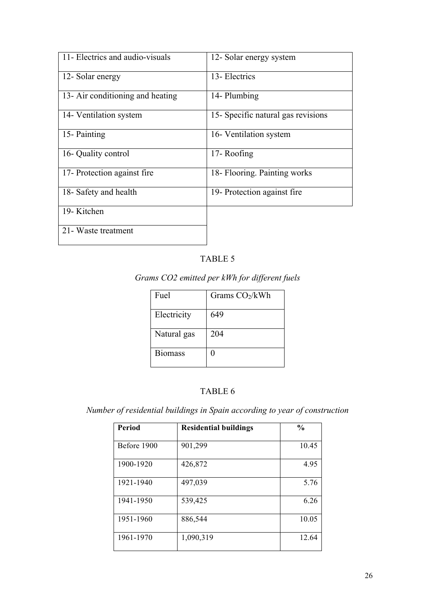| 11- Electrics and audio-visuals  | 12- Solar energy system            |
|----------------------------------|------------------------------------|
| 12- Solar energy                 | 13- Electrics                      |
| 13- Air conditioning and heating | 14- Plumbing                       |
| 14- Ventilation system           | 15- Specific natural gas revisions |
| 15-Painting                      | 16- Ventilation system             |
| 16- Quality control              | 17-Roofing                         |
| 17- Protection against fire      | 18- Flooring. Painting works       |
| 18- Safety and health            | 19- Protection against fire.       |
| 19-Kitchen                       |                                    |
| 21 - Waste treatment             |                                    |

### TABLE 5

# *Grams CO2 emitted per kWh for different fuels*

| Fuel           | Grams $CO2/kWh$ |
|----------------|-----------------|
| Electricity    | 649             |
| Natural gas    | 204             |
| <b>Biomass</b> |                 |

### TABLE 6

*Number of residential buildings in Spain according to year of construction*

| Period      | <b>Residential buildings</b> | $\frac{0}{0}$ |
|-------------|------------------------------|---------------|
| Before 1900 | 901,299                      | 10.45         |
| 1900-1920   | 426,872                      | 4.95          |
| 1921-1940   | 497,039                      | 5.76          |
| 1941-1950   | 539,425                      | 6.26          |
| 1951-1960   | 886,544                      | 10.05         |
| 1961-1970   | 1,090,319                    | 12.64         |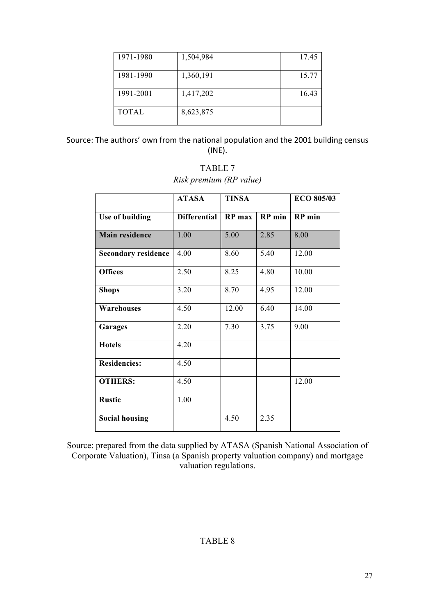| 1971-1980    | 1,504,984 | 17.45 |
|--------------|-----------|-------|
| 1981-1990    | 1,360,191 | 15.77 |
| 1991-2001    | 1,417,202 | 16.43 |
| <b>TOTAL</b> | 8,623,875 |       |

Source: The authors' own from the national population and the 2001 building census (INE).

## TABLE 7 *Risk premium (RP value)*

|                            | <b>ATASA</b>        | <b>TINSA</b> |        | <b>ECO 805/03</b> |
|----------------------------|---------------------|--------------|--------|-------------------|
| Use of building            | <b>Differential</b> | RP max       | RP min | <b>RP</b> min     |
| <b>Main residence</b>      | 1.00                | 5.00         | 2.85   | 8.00              |
| <b>Secondary residence</b> | 4.00                | 8.60         | 5.40   | 12.00             |
| <b>Offices</b>             | 2.50                | 8.25         | 4.80   | 10.00             |
| <b>Shops</b>               | 3.20                | 8.70         | 4.95   | 12.00             |
| <b>Warehouses</b>          | 4.50                | 12.00        | 6.40   | 14.00             |
| Garages                    | 2.20                | 7.30         | 3.75   | 9.00              |
| <b>Hotels</b>              | 4.20                |              |        |                   |
| <b>Residencies:</b>        | 4.50                |              |        |                   |
| <b>OTHERS:</b>             | 4.50                |              |        | 12.00             |
| <b>Rustic</b>              | 1.00                |              |        |                   |
| <b>Social housing</b>      |                     | 4.50         | 2.35   |                   |

Source: prepared from the data supplied by ATASA (Spanish National Association of Corporate Valuation), Tinsa (a Spanish property valuation company) and mortgage valuation regulations.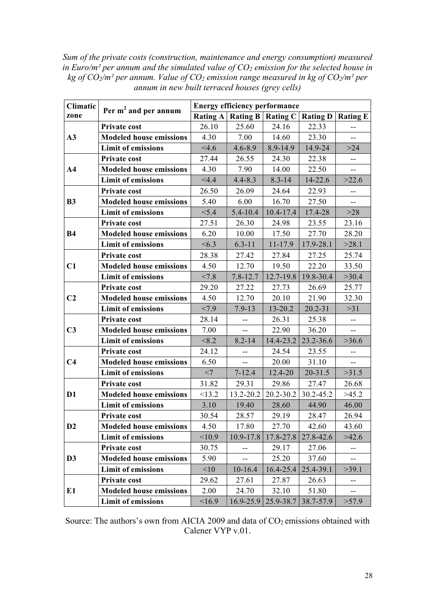*Sum of the private costs (construction, maintenance and energy consumption) measured*  in Euro/m<sup>2</sup> per annum and the simulated value of  $CO_2$  emission for the selected house in *kg of CO2/m² per annum. Value of CO2 emission range measured in kg of CO2/m² per annum in new built terraced houses (grey cells)*

| Climatic       | Per m <sup>2</sup> and per annum | <b>Energy efficiency performance</b> |                                                                                                                                                                                                                                                                                                                                                                                                                                                                                                                                                                                                                                                                                                                                                                                                                                                                                                                                                                                                                                                                                                |            |                 |       |  |  |
|----------------|----------------------------------|--------------------------------------|------------------------------------------------------------------------------------------------------------------------------------------------------------------------------------------------------------------------------------------------------------------------------------------------------------------------------------------------------------------------------------------------------------------------------------------------------------------------------------------------------------------------------------------------------------------------------------------------------------------------------------------------------------------------------------------------------------------------------------------------------------------------------------------------------------------------------------------------------------------------------------------------------------------------------------------------------------------------------------------------------------------------------------------------------------------------------------------------|------------|-----------------|-------|--|--|
| zone           |                                  |                                      |                                                                                                                                                                                                                                                                                                                                                                                                                                                                                                                                                                                                                                                                                                                                                                                                                                                                                                                                                                                                                                                                                                |            | <b>Rating D</b> |       |  |  |
|                | Private cost                     | 26.10                                | 25.60                                                                                                                                                                                                                                                                                                                                                                                                                                                                                                                                                                                                                                                                                                                                                                                                                                                                                                                                                                                                                                                                                          | 24.16      | 22.33           | --    |  |  |
| A3             | <b>Modeled house emissions</b>   | 4.30                                 | 7.00                                                                                                                                                                                                                                                                                                                                                                                                                                                                                                                                                                                                                                                                                                                                                                                                                                                                                                                                                                                                                                                                                           | 14.60      | 23.30           | --    |  |  |
|                | <b>Limit of emissions</b>        | 4.6                                  | $4.6 - 8.9$                                                                                                                                                                                                                                                                                                                                                                                                                                                                                                                                                                                                                                                                                                                                                                                                                                                                                                                                                                                                                                                                                    | 8.9-14.9   | 14.9-24         | $>24$ |  |  |
|                | Private cost                     | 27.44                                | 26.55                                                                                                                                                                                                                                                                                                                                                                                                                                                                                                                                                                                                                                                                                                                                                                                                                                                                                                                                                                                                                                                                                          | 24.30      | 22.38           | --    |  |  |
| A <sub>4</sub> | <b>Modeled house emissions</b>   | 4.30                                 | 7.90                                                                                                                                                                                                                                                                                                                                                                                                                                                                                                                                                                                                                                                                                                                                                                                                                                                                                                                                                                                                                                                                                           | 14.00      | 22.50           | $-$   |  |  |
|                | <b>Limit of emissions</b>        | $<$ 4.4                              | $4.4 - 8.3$                                                                                                                                                                                                                                                                                                                                                                                                                                                                                                                                                                                                                                                                                                                                                                                                                                                                                                                                                                                                                                                                                    | $8.3 - 14$ | 14-22.6         | >22.6 |  |  |
|                | <b>Private cost</b>              | 26.50                                | 26.09                                                                                                                                                                                                                                                                                                                                                                                                                                                                                                                                                                                                                                                                                                                                                                                                                                                                                                                                                                                                                                                                                          | 24.64      | 22.93           | --    |  |  |
| <b>B3</b>      | <b>Modeled house emissions</b>   | 5.40                                 | 6.00                                                                                                                                                                                                                                                                                                                                                                                                                                                                                                                                                                                                                                                                                                                                                                                                                                                                                                                                                                                                                                                                                           | 16.70      | 27.50           |       |  |  |
|                | <b>Limit of emissions</b>        | < 5.4                                | $5.4 - 10.4$                                                                                                                                                                                                                                                                                                                                                                                                                                                                                                                                                                                                                                                                                                                                                                                                                                                                                                                                                                                                                                                                                   |            | 17.4-28         | $>28$ |  |  |
|                | <b>Private cost</b>              | 27.51                                | 26.30                                                                                                                                                                                                                                                                                                                                                                                                                                                                                                                                                                                                                                                                                                                                                                                                                                                                                                                                                                                                                                                                                          | 24.98      | 23.55           | 23.16 |  |  |
| <b>B4</b>      | <b>Modeled house emissions</b>   | 6.20                                 | 10.00                                                                                                                                                                                                                                                                                                                                                                                                                                                                                                                                                                                                                                                                                                                                                                                                                                                                                                                                                                                                                                                                                          | 17.50      | 27.70           | 28.20 |  |  |
|                | <b>Limit of emissions</b>        | <6.3                                 | Rating A   Rating B   Rating C<br><b>Rating E</b><br>$10.4 - 17.4$<br>$6.3 - 11$<br>11-17.9<br>17.9-28.1<br>>28.1<br>27.42<br>25.74<br>27.84<br>27.25<br>33.50<br>12.70<br>19.50<br>22.20<br>12.7-19.8<br>$7.8 - 12.7$<br>19.8-30.4<br>>30.4<br>27.22<br>27.73<br>26.69<br>25.77<br>12.70<br>20.10<br>21.90<br>32.30<br>$7.9 - 13$<br>13-20.2<br>$20.2 - 31$<br>>31<br>26.31<br>25.38<br>--<br>--<br>22.90<br>36.20<br>$-$<br>$-$<br>$8.2 - 14$<br>14.4-23.2<br>23.2-36.6<br>>36.6<br>24.54<br>23.55<br>--<br>--<br>20.00<br>31.10<br>$\overline{\phantom{a}}$<br>$\overline{\phantom{a}}$<br>$7 - 12.4$<br>12.4-20<br>20-31.5<br>>31.5<br>29.31<br>29.86<br>27.47<br>26.68<br>30.2-45.2<br>20.2-30.2<br>>45.2<br>19.40<br>28.60<br>44.90<br>46.00<br>28.57<br>26.94<br>29.19<br>28.47<br>27.70<br>17.80<br>42.60<br>43.60<br>17.8-27.8<br>27.8-42.6<br>>42.6<br>29.17<br>27.06<br>$\overline{\phantom{a}}$<br>--<br>25.20<br>37.60<br>--<br>$10-16.4$<br>16.4-25.4<br>25.4-39.1<br>>39.1<br>27.61<br>27.87<br>26.63<br>--<br>24.70<br>32.10<br>51.80<br>--<br>25.9-38.7<br>38.7-57.9<br>>57.9 |            |                 |       |  |  |
|                | Private cost                     | 28.38                                |                                                                                                                                                                                                                                                                                                                                                                                                                                                                                                                                                                                                                                                                                                                                                                                                                                                                                                                                                                                                                                                                                                |            |                 |       |  |  |
| C1             | <b>Modeled house emissions</b>   | 4.50                                 |                                                                                                                                                                                                                                                                                                                                                                                                                                                                                                                                                                                                                                                                                                                                                                                                                                                                                                                                                                                                                                                                                                |            |                 |       |  |  |
|                | <b>Limit of emissions</b>        | < 7.8                                |                                                                                                                                                                                                                                                                                                                                                                                                                                                                                                                                                                                                                                                                                                                                                                                                                                                                                                                                                                                                                                                                                                |            |                 |       |  |  |
|                | <b>Private cost</b>              | 29.20                                |                                                                                                                                                                                                                                                                                                                                                                                                                                                                                                                                                                                                                                                                                                                                                                                                                                                                                                                                                                                                                                                                                                |            |                 |       |  |  |
| C <sub>2</sub> | <b>Modeled house emissions</b>   | 4.50                                 |                                                                                                                                                                                                                                                                                                                                                                                                                                                                                                                                                                                                                                                                                                                                                                                                                                                                                                                                                                                                                                                                                                |            |                 |       |  |  |
|                | <b>Limit of emissions</b>        | < 7.9                                |                                                                                                                                                                                                                                                                                                                                                                                                                                                                                                                                                                                                                                                                                                                                                                                                                                                                                                                                                                                                                                                                                                |            |                 |       |  |  |
|                | <b>Private cost</b>              | 28.14                                |                                                                                                                                                                                                                                                                                                                                                                                                                                                                                                                                                                                                                                                                                                                                                                                                                                                                                                                                                                                                                                                                                                |            |                 |       |  |  |
| C <sub>3</sub> | <b>Modeled house emissions</b>   | 7.00                                 |                                                                                                                                                                                                                                                                                                                                                                                                                                                                                                                                                                                                                                                                                                                                                                                                                                                                                                                                                                                                                                                                                                |            |                 |       |  |  |
|                | <b>Limit of emissions</b>        | < 8.2                                |                                                                                                                                                                                                                                                                                                                                                                                                                                                                                                                                                                                                                                                                                                                                                                                                                                                                                                                                                                                                                                                                                                |            |                 |       |  |  |
|                | <b>Private cost</b>              | 24.12                                |                                                                                                                                                                                                                                                                                                                                                                                                                                                                                                                                                                                                                                                                                                                                                                                                                                                                                                                                                                                                                                                                                                |            |                 |       |  |  |
| C <sub>4</sub> | <b>Modeled house emissions</b>   | 6.50                                 |                                                                                                                                                                                                                                                                                                                                                                                                                                                                                                                                                                                                                                                                                                                                                                                                                                                                                                                                                                                                                                                                                                |            |                 |       |  |  |
|                | <b>Limit of emissions</b>        | $<$ 7                                |                                                                                                                                                                                                                                                                                                                                                                                                                                                                                                                                                                                                                                                                                                                                                                                                                                                                                                                                                                                                                                                                                                |            |                 |       |  |  |
|                | <b>Private cost</b>              | 31.82                                |                                                                                                                                                                                                                                                                                                                                                                                                                                                                                                                                                                                                                                                                                                                                                                                                                                                                                                                                                                                                                                                                                                |            |                 |       |  |  |
| D <sub>1</sub> | <b>Modeled house emissions</b>   | <13.2                                | 13.2-20.2                                                                                                                                                                                                                                                                                                                                                                                                                                                                                                                                                                                                                                                                                                                                                                                                                                                                                                                                                                                                                                                                                      |            |                 |       |  |  |
|                | <b>Limit of emissions</b>        | 3.10                                 |                                                                                                                                                                                                                                                                                                                                                                                                                                                                                                                                                                                                                                                                                                                                                                                                                                                                                                                                                                                                                                                                                                |            |                 |       |  |  |
|                | Private cost                     | 30.54                                |                                                                                                                                                                                                                                                                                                                                                                                                                                                                                                                                                                                                                                                                                                                                                                                                                                                                                                                                                                                                                                                                                                |            |                 |       |  |  |
| D <sub>2</sub> | <b>Modeled house emissions</b>   | 4.50                                 |                                                                                                                                                                                                                                                                                                                                                                                                                                                                                                                                                                                                                                                                                                                                                                                                                                                                                                                                                                                                                                                                                                |            |                 |       |  |  |
|                | <b>Limit of emissions</b>        | <10.9                                | 10.9-17.8                                                                                                                                                                                                                                                                                                                                                                                                                                                                                                                                                                                                                                                                                                                                                                                                                                                                                                                                                                                                                                                                                      |            |                 |       |  |  |
|                | <b>Private cost</b>              | 30.75                                |                                                                                                                                                                                                                                                                                                                                                                                                                                                                                                                                                                                                                                                                                                                                                                                                                                                                                                                                                                                                                                                                                                |            |                 |       |  |  |
| D <sub>3</sub> | <b>Modeled house emissions</b>   | 5.90                                 |                                                                                                                                                                                                                                                                                                                                                                                                                                                                                                                                                                                                                                                                                                                                                                                                                                                                                                                                                                                                                                                                                                |            |                 |       |  |  |
|                | <b>Limit of emissions</b>        | <10                                  |                                                                                                                                                                                                                                                                                                                                                                                                                                                                                                                                                                                                                                                                                                                                                                                                                                                                                                                                                                                                                                                                                                |            |                 |       |  |  |
|                | Private cost                     | 29.62                                |                                                                                                                                                                                                                                                                                                                                                                                                                                                                                                                                                                                                                                                                                                                                                                                                                                                                                                                                                                                                                                                                                                |            |                 |       |  |  |
| E1             | <b>Modeled house emissions</b>   | 2.00                                 |                                                                                                                                                                                                                                                                                                                                                                                                                                                                                                                                                                                                                                                                                                                                                                                                                                                                                                                                                                                                                                                                                                |            |                 |       |  |  |
|                | <b>Limit of emissions</b>        | <16.9                                | 16.9-25.9                                                                                                                                                                                                                                                                                                                                                                                                                                                                                                                                                                                                                                                                                                                                                                                                                                                                                                                                                                                                                                                                                      |            |                 |       |  |  |

Source: The authors's own from AICIA 2009 and data of  $CO<sub>2</sub>$  emissions obtained with Calener VYP v.01.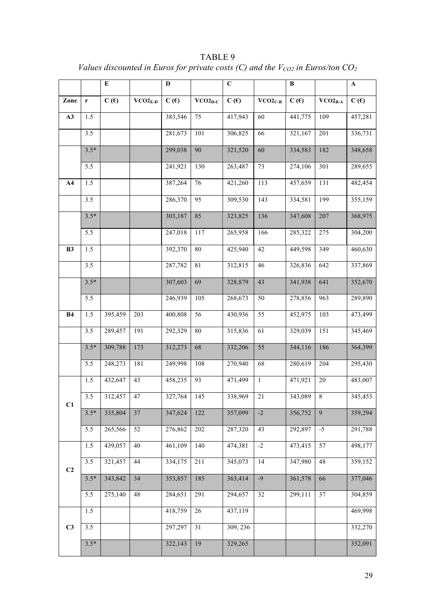|                |                  | ${\bf E}$ |           | $\mathbf D$ |              | $\mathbf C$ |           | $\, {\bf B}$ |                | $\mathbf A$ |
|----------------|------------------|-----------|-----------|-------------|--------------|-------------|-----------|--------------|----------------|-------------|
| Zone           | $\mathbf r$      | C(f)      | $VCO2E-D$ | C(f)        | $VCO2_{D-C}$ | C(f)        | $VCO2C-B$ | C(f)         | $VCO2_{B-A}$   | C(f)        |
| A3             | 1.5              |           |           | 383,546     | 75           | 417,943     | 60        | 441,775      | 109            | 457,281     |
|                | 3.5              |           |           | 281,673     | 101          | 306,825     | 66        | 321,167      | 201            | 336,731     |
|                | $3.5*$           |           |           | 299,038     | 90           | 321,520     | 60        | 334,583      | 182            | 348,658     |
|                | 5.5              |           |           | 241,921     | 130          | 263,487     | 73        | 274,106      | 301            | 289,655     |
| A <sub>4</sub> | 1.5              |           |           | 387,264     | 76           | 421,260     | 113       | 457,659      | 131            | 482,454     |
|                | 3.5              |           |           | 286,370     | 95           | 309,530     | 143       | 334,581      | 199            | 355,159     |
|                | $3.5*$           |           |           | 303,187     | 85           | 323,825     | 136       | 347,608      | 207            | 368,975     |
|                | 5.5              |           |           | 247,018     | 117          | 265,958     | 166       | 285,322      | 275            | 304,200     |
| B3             | 1.5              |           |           | 392,370     | $80\,$       | 425,940     | 42        | 449,598      | 349            | 460,630     |
|                | 3.5              |           |           | 287,782     | 81           | 312,815     | $46\,$    | 326,836      | 642            | 337,869     |
|                | $3.5*$           |           |           | 307,603     | 69           | 328,879     | 43        | 341,938      | 641            | 352,670     |
|                | 5.5              |           |           | 246,939     | 105          | 268,673     | $50\,$    | 278,856      | 963            | 289,890     |
| <b>B4</b>      | 1.5              | 395,459   | 203       | 400,808     | 56           | 430,936     | 55        | 452,975      | 103            | 473,499     |
|                | 3.5              | 289,457   | 191       | 292,329     | $80\,$       | 315,836     | 61        | 329,039      | 151            | 345,469     |
|                | $3.5*$           | 309,788   | 173       | 312,273     | 68           | 332,206     | 55        | 344,116      | 186            | 364,399     |
|                | 5.5              | 248,273   | 181       | 249,998     | 108          | 270,940     | 68        | 280,619      | 204            | 295,430     |
|                | 1.5              | 432,647   | 43        | 458,235     | 93           | 471,499     | $\,1\,$   | 471,921      | $20\,$         | 483,007     |
| C1             | 3.5              | 312,457   | 47        | 327,764     | 145          | 338,969     | $21\,$    | 343,089      | $\overline{8}$ | 345,453     |
|                | $3.5*$           | 335,804   | 37        | 347,624     | 122          | 357,099     | $-2$      | 356,752      | 9              | 359,294     |
|                | 5.5              | 265,566   | 52        | 276,862     | 202          | 287,320     | 43        | 292,897      | $-5$           | 291,788     |
|                | 1.5              | 439,057   | 40        | 461,109     | 140          | 474,381     | $-2$      | 473,415      | 57             | 498,177     |
| C <sub>2</sub> | 3.5              | 321,457   | $44\,$    | 334,175     | 211          | 345,073     | 14        | 347,980      | $48\,$         | 359,152     |
|                | $3.5*$           | 343,842   | 34        | 353,857     | 185          | 363,414     | $-9$      | 361,578      | 66             | 377,046     |
|                | 5.5              | 275,140   | 48        | 284,651     | 291          | 294,657     | 32        | 299,111      | 37             | 304,859     |
|                | 1.5              |           |           | 418,759     | 26           | 437,119     |           |              |                | 469,998     |
| C3             | $\overline{3.5}$ |           |           | 297,297     | 31           | 309, 236    |           |              |                | 332,270     |
|                | $3.5*$           |           |           | 322,143     | 19           | 329,265     |           |              |                | 352,091     |

TABLE 9 *Values discounted in Euros for private costs (C) and the*  $V_{CO2}$  *in Euros/ton CO<sub>2</sub>*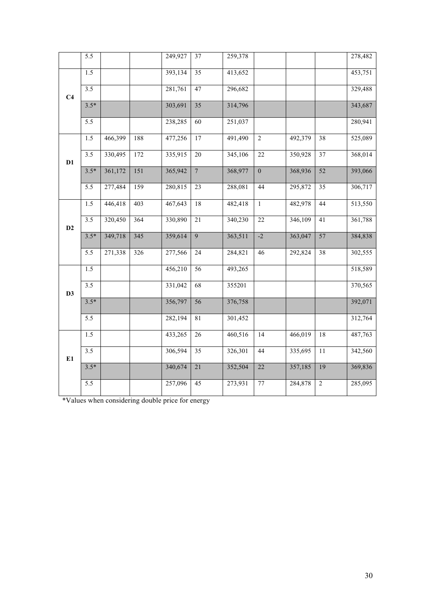|                | 5.5              |         |     | 249,927 | 37              | 259,378 |                 |         |                 | 278,482 |
|----------------|------------------|---------|-----|---------|-----------------|---------|-----------------|---------|-----------------|---------|
| C <sub>4</sub> | 1.5              |         |     | 393,134 | 35              | 413,652 |                 |         |                 | 453,751 |
|                | $\overline{3.5}$ |         |     | 281,761 | 47              | 296,682 |                 |         |                 | 329,488 |
|                | $3.5*$           |         |     | 303,691 | $\overline{35}$ | 314,796 |                 |         |                 | 343,687 |
|                | 5.5              |         |     | 238,285 | 60              | 251,037 |                 |         |                 | 280,941 |
| D1             | $\overline{1.5}$ | 466,399 | 188 | 477,256 | $\overline{17}$ | 491,490 | $\overline{2}$  | 492,379 | $\overline{38}$ | 525,089 |
|                | 3.5              | 330,495 | 172 | 335,915 | $20\,$          | 345,106 | $22\,$          | 350,928 | 37              | 368,014 |
|                | $3.5*$           | 361,172 | 151 | 365,942 | $\overline{7}$  | 368,977 | $\overline{0}$  | 368,936 | $\overline{52}$ | 393,066 |
|                | 5.5              | 277,484 | 159 | 280,815 | 23              | 288,081 | 44              | 295,872 | 35              | 306,717 |
| D2             | 1.5              | 446,418 | 403 | 467,643 | $18\,$          | 482,418 | $\mathbf{1}$    | 482,978 | 44              | 513,550 |
|                | $\overline{3.5}$ | 320,450 | 364 | 330,890 | $\overline{21}$ | 340,230 | $22\,$          | 346,109 | 41              | 361,788 |
|                | $3.5*$           | 349,718 | 345 | 359,614 | $\overline{9}$  | 363,511 | $-2$            | 363,047 | 57              | 384,838 |
|                | 5.5              | 271,338 | 326 | 277,566 | 24              | 284,821 | 46              | 292,824 | 38              | 302,555 |
| D3             | 1.5              |         |     | 456,210 | 56              | 493,265 |                 |         |                 | 518,589 |
|                | 3.5              |         |     | 331,042 | 68              | 355201  |                 |         |                 | 370,565 |
|                | $3.5*$           |         |     | 356,797 | 56              | 376,758 |                 |         |                 | 392,071 |
|                | 5.5              |         |     | 282,194 | 81              | 301,452 |                 |         |                 | 312,764 |
| E1             | 1.5              |         |     | 433,265 | 26              | 460,516 | $\overline{14}$ | 466,019 | $\overline{18}$ | 487,763 |
|                | 3.5              |         |     | 306,594 | 35              | 326,301 | 44              | 335,695 | $11\,$          | 342,560 |
|                | $3.5*$           |         |     | 340,674 | $\overline{21}$ | 352,504 | $\overline{22}$ | 357,185 | 19              | 369,836 |
|                | 5.5              |         |     | 257,096 | 45              | 273,931 | $77\,$          | 284,878 | $\sqrt{2}$      | 285,095 |

\*Values when considering double price for energy